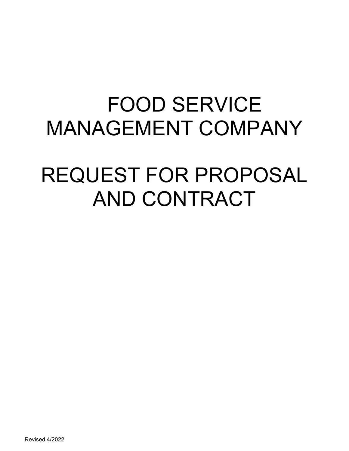## FOOD SERVICE MANAGEMENT COMPANY

# REQUEST FOR PROPOSAL AND CONTRACT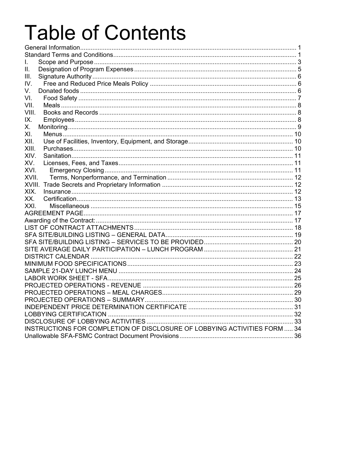# **Table of Contents**

| L.                                                                        |  |
|---------------------------------------------------------------------------|--|
| Ш.                                                                        |  |
| III.                                                                      |  |
| IV.                                                                       |  |
| V.                                                                        |  |
| VI.                                                                       |  |
| VII.                                                                      |  |
| VIII.                                                                     |  |
| IX.                                                                       |  |
| Х.                                                                        |  |
| XI.                                                                       |  |
| XII.                                                                      |  |
| XIII.                                                                     |  |
| XIV.                                                                      |  |
| XV.                                                                       |  |
| XVI.                                                                      |  |
| XVII.                                                                     |  |
|                                                                           |  |
| XIX.                                                                      |  |
| XX.                                                                       |  |
| XXI.                                                                      |  |
|                                                                           |  |
|                                                                           |  |
|                                                                           |  |
|                                                                           |  |
|                                                                           |  |
|                                                                           |  |
|                                                                           |  |
|                                                                           |  |
|                                                                           |  |
|                                                                           |  |
|                                                                           |  |
|                                                                           |  |
|                                                                           |  |
|                                                                           |  |
|                                                                           |  |
|                                                                           |  |
| INSTRUCTIONS FOR COMPLETION OF DISCLOSURE OF LOBBYING ACTIVITIES FORM  34 |  |
|                                                                           |  |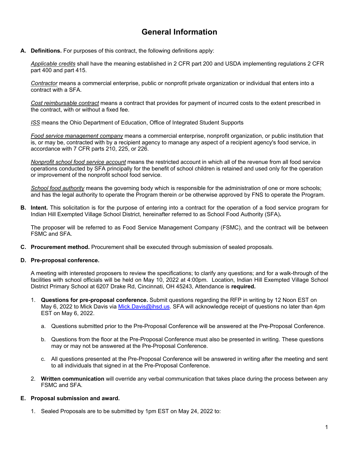## **General Information**

**A. Definitions.** For purposes of this contract, the following definitions apply:

*Applicable credits* shall have the meaning established in 2 CFR part 200 and USDA implementing regulations 2 CFR part 400 and part 415.

*Contractor* means a commercial enterprise, public or nonprofit private organization or individual that enters into a contract with a SFA.

*Cost reimbursable contract* means a contract that provides for payment of incurred costs to the extent prescribed in the contract, with or without a fixed fee.

*ISS* means the Ohio Department of Education, Office of Integrated Student Supports

*Food service management company* means a commercial enterprise, nonprofit organization, or public institution that is, or may be, contracted with by a recipient agency to manage any aspect of a recipient agency's food service, in accordance with 7 CFR parts 210, 225, or 226.

*Nonprofit school food service account* means the restricted account in which all of the revenue from all food service operations conducted by SFA principally for the benefit of school children is retained and used only for the operation or improvement of the nonprofit school food service.

*School food authority* means the governing body which is responsible for the administration of one or more schools; and has the legal authority to operate the Program therein *or* be otherwise approved by FNS to operate the Program.

**B. Intent.** This solicitation is for the purpose of entering into a contract for the operation of a food service program for Indian Hill Exempted Village School District, hereinafter referred to as School Food Authority (SFA)*.*

The proposer will be referred to as Food Service Management Company (FSMC), and the contract will be between FSMC and SFA.

**C. Procurement method.** Procurement shall be executed through submission of sealed proposals.

#### **D. Pre-proposal conference.**

A meeting with interested proposers to review the specifications; to clarify any questions; and for a walk-through of the facilities with school officials will be held on May 10, 2022 at 4:00pm. Location, Indian Hill Exempted Village School District Primary School at 6207 Drake Rd, Cincinnati, OH 45243, Attendance is **required.**

- 1. **Questions for pre-proposal conference.** Submit questions regarding the RFP in writing by 12 Noon EST on May 6, 2022 to Mick Davis via Mick.Davis@ihsd.us. SFA will acknowledge receipt of questions no later than 4pm EST on May 6, 2022.
	- a. Questions submitted prior to the Pre-Proposal Conference will be answered at the Pre-Proposal Conference.
	- b. Questions from the floor at the Pre-Proposal Conference must also be presented in writing. These questions may or may not be answered at the Pre-Proposal Conference.
	- c. All questions presented at the Pre-Proposal Conference will be answered in writing after the meeting and sent to all individuals that signed in at the Pre-Proposal Conference.
- 2. **Written communication** will override any verbal communication that takes place during the process between any FSMC and SFA.

#### **E. Proposal submission and award.**

1. Sealed Proposals are to be submitted by 1pm EST on May 24, 2022 to: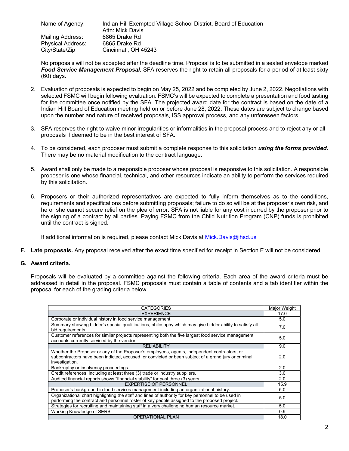Name of Agency: Indian Hill Exempted Village School District, Board of Education Attn: Mick Davis Mailing Address: 6865 Drake Rd Physical Address: 6865 Drake Rd City/State/Zip Cincinnati, OH 45243

No proposals will not be accepted after the deadline time. Proposal is to be submitted in a sealed envelope marked *Food Service Management Proposal.* SFA reserves the right to retain all proposals for a period of at least sixty (60) days.

- 2. Evaluation of proposals is expected to begin on May 25, 2022 and be completed by June 2, 2022. Negotiations with selected FSMC will begin following evaluation. FSMC's will be expected to complete a presentation and food tasting for the committee once notified by the SFA. The projected award date for the contract is based on the date of a Indian Hill Board of Education meeting held on or before June 28, 2022. These dates are subject to change based upon the number and nature of received proposals, ISS approval process, and any unforeseen factors.
- 3. SFA reserves the right to waive minor irregularities or informalities in the proposal process and to reject any or all proposals if deemed to be in the best interest of SFA.
- 4. To be considered, each proposer must submit a complete response to this solicitation *using the forms provided.* There may be no material modification to the contract language.
- 5. Award shall only be made to a responsible proposer whose proposal is responsive to this solicitation. A responsible proposer is one whose financial, technical, and other resources indicate an ability to perform the services required by this solicitation.
- 6. Proposers or their authorized representatives are expected to fully inform themselves as to the conditions, requirements and specifications before submitting proposals; failure to do so will be at the proposer's own risk, and he or she cannot secure relief on the plea of error. SFA is not liable for any cost incurred by the proposer prior to the signing of a contract by all parties. Paying FSMC from the Child Nutrition Program (CNP) funds is prohibited until the contract is signed.

If additional information is required, please contact Mick Davis at Mick.Davis@ihsd.us

**F. Late proposals.** Any proposal received after the exact time specified for receipt in Section E will not be considered.

#### **G. Award criteria.**

Proposals will be evaluated by a committee against the following criteria. Each area of the award criteria must be addressed in detail in the proposal. FSMC proposals must contain a table of contents and a tab identifier within the proposal for each of the grading criteria below.

| <b>CATEGORIES</b>                                                                                                                                                                                                      | Major Weight |
|------------------------------------------------------------------------------------------------------------------------------------------------------------------------------------------------------------------------|--------------|
| <b>EXPERIENCE</b>                                                                                                                                                                                                      | 17.0         |
| Corporate or individual history in food service management.                                                                                                                                                            | 5.0          |
| Summary showing bidder's special qualifications, philosophy which may give bidder ability to satisfy all<br>bid requirements.                                                                                          | 7.0          |
| Customer references for similar projects representing both the five largest food service management<br>accounts currently serviced by the vendor.                                                                      | 5.0          |
| <b>RELIABILITY</b>                                                                                                                                                                                                     | 9.0          |
| Whether the Proposer or any of the Proposer's employees, agents, independent contractors, or<br>subcontractors have been indicted, accused, or convicted or been subject of a grand jury or criminal<br>investigation. | 2.0          |
| Bankruptcy or insolvency proceedings.                                                                                                                                                                                  | 2.0          |
| Credit references, including at least three (3) trade or industry suppliers.                                                                                                                                           | 3.0          |
| Audited financial reports shows "financial stability" for past three (3) years.                                                                                                                                        | 2.0          |
| <b>EXPERTISE OF PERSONNEL</b>                                                                                                                                                                                          | 15.9         |
| Proposer's background in food services management including an organizational history.                                                                                                                                 | 5.0          |
| Organizational chart highlighting the staff and lines of authority for key personnel to be used in<br>performing the contract and personnel roster of key people assigned to the proposed project.                     | 5.0          |
| Strategies for recruiting and maintaining staff in a very challenging human resource market.                                                                                                                           | 5.0          |
| Working Knowledge of SERS                                                                                                                                                                                              | 0.9          |
| <b>OPERATIONAL PLAN</b>                                                                                                                                                                                                | 18.0         |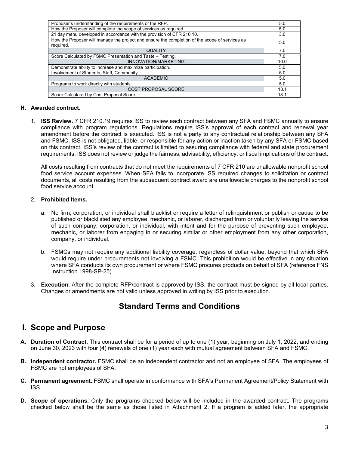| Proposer's understanding of the requirements of the RFP.                                                    | 5.0  |
|-------------------------------------------------------------------------------------------------------------|------|
| How the Proposer will complete the scope of services as required.                                           | 5.0  |
| 21 day menu developed in accordance with the provision of CFR 210.10.                                       | 3.0  |
| How the Proposer will manage the project and ensure the completion of the scope of services as<br>required. | 5.0  |
| <b>QUALITY</b>                                                                                              | 7.0  |
| Score Calculated by FSMC Presentation and Taste - Testing.                                                  | 7.0  |
| INNOVATION/MARKETING                                                                                        | 10.0 |
| Demonstrate ability to increase and maximize participation.                                                 | 5.0  |
| Involvement of Students, Staff, Community                                                                   | 5.0  |
| <b>ACADEMIC</b>                                                                                             | 5.0  |
| Programs to work directly with students.                                                                    | 5.0  |
| COST PROPOSAL SCORE                                                                                         | 18.1 |
| Score Calculated by Cost Proposal Score.                                                                    | 18.1 |

#### **H. Awarded contract.**

1. **ISS Review.** 7 CFR 210.19 requires ISS to review each contract between any SFA and FSMC annually to ensure compliance with program regulations. Regulations require ISS's approval of each contract and renewal year amendment before the contract is executed. ISS is not a party to any contractual relationship between any SFA and FSMC. ISS is not obligated, liable, or responsible for any action or inaction taken by any SFA or FSMC based on this contract. ISS's review of the contract is limited to assuring compliance with federal and state procurement requirements. ISS does not review or judge the fairness, advisability, efficiency, or fiscal implications of the contract.

All costs resulting from contracts that do not meet the requirements of 7 CFR 210 are unallowable nonprofit school food service account expenses. When SFA fails to incorporate ISS required changes to solicitation or contract documents, all costs resulting from the subsequent contract award are unallowable charges to the nonprofit school food service account.

#### 2. **Prohibited Items.**

- a. No firm, corporation, or individual shall blacklist or require a letter of relinquishment or publish or cause to be published or blacklisted any employee, mechanic, or laborer, discharged from or voluntarily leaving the service of such company, corporation, or individual, with intent and for the purpose of preventing such employee, mechanic, or laborer from engaging in or securing similar or other employment from any other corporation, company, or individual.
- b. FSMCs may not require any additional liability coverage, regardless of dollar value, beyond that which SFA would require under procurements not involving a FSMC. This prohibition would be effective in any situation where SFA conducts its own procurement or where FSMC procures products on behalf of SFA (reference FNS Instruction 1998-SP-25).
- 3. **Execution.** After the complete RFP/contract is approved by ISS, the contract must be signed by all local parties. Changes or amendments are not valid unless approved in writing by ISS prior to execution.

#### **Standard Terms and Conditions**

#### **I. Scope and Purpose**

- **A. Duration of Contract.** This contract shall be for a period of up to one (1) year, beginning on July 1, 2022, and ending on June 30, 2023 with four (4) renewals of one (1) year each with mutual agreement between SFA and FSMC.
- **B. Independent contractor.** FSMC shall be an independent contractor and not an employee of SFA. The employees of FSMC are not employees of SFA.
- **C. Permanent agreement.** FSMC shall operate in conformance with SFA's Permanent Agreement/Policy Statement with ISS.
- **D. Scope of operations.** Only the programs checked below will be included in the awarded contract. The programs checked below shall be the same as those listed in Attachment 2. If a program is added later, the appropriate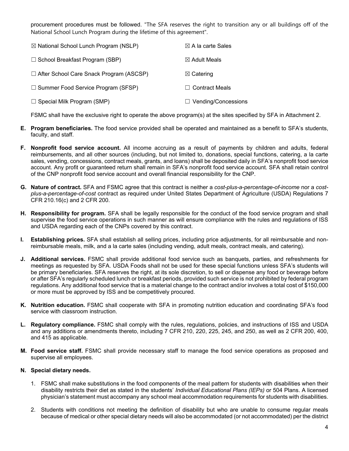procurement procedures must be followed. "The SFA reserves the right to transition any or all buildings off of the National School Lunch Program during the lifetime of this agreement".

| $\boxtimes$ National School Lunch Program (NSLP) | $\boxtimes$ A la carte Sales |
|--------------------------------------------------|------------------------------|
| $\Box$ School Breakfast Program (SBP)            | $\boxtimes$ Adult Meals      |
| $\Box$ After School Care Snack Program (ASCSP)   | $\boxtimes$ Catering         |
| $\Box$ Summer Food Service Program (SFSP)        | $\Box$ Contract Meals        |
| $\Box$ Special Milk Program (SMP)                | $\Box$ Vending/Concessions   |

FSMC shall have the exclusive right to operate the above program(s) at the sites specified by SFA in Attachment 2.

- **E. Program beneficiaries.** The food service provided shall be operated and maintained as a benefit to SFA's students, faculty, and staff.
- **F. Nonprofit food service account.** All income accruing as a result of payments by children and adults, federal reimbursements, and all other sources (including, but not limited to, donations, special functions, catering, a la carte sales, vending, concessions, contract meals, grants, and loans) shall be deposited daily in SFA's nonprofit food service account. Any profit or guaranteed return shall remain in SFA's nonprofit food service account. SFA shall retain control of the CNP nonprofit food service account and overall financial responsibility for the CNP.
- **G. Nature of contract.** SFA and FSMC agree that this contract is neither a *cost-plus-a-percentage-of-income* nor a *costplus-a-percentage-of-cost* contract as required under United States Department of Agriculture (USDA) Regulations 7 CFR 210.16(c) and 2 CFR 200.
- **H. Responsibility for program.** SFA shall be legally responsible for the conduct of the food service program and shall supervise the food service operations in such manner as will ensure compliance with the rules and regulations of ISS and USDA regarding each of the CNPs covered by this contract.
- **I. Establishing prices.** SFA shall establish all selling prices, including price adjustments, for all reimbursable and nonreimbursable meals, milk, and a la carte sales (including vending, adult meals, contract meals, and catering).
- **J. Additional services.** FSMC shall provide additional food service such as banquets, parties, and refreshments for meetings as requested by SFA. USDA Foods shall not be used for these special functions unless SFA's students will be primary beneficiaries. SFA reserves the right, at its sole discretion, to sell or dispense any food or beverage before or after SFA's regularly scheduled lunch or breakfast periods, provided such service is not prohibited by federal program regulations. Any additional food service that is a material change to the contract and/or involves a total cost of \$150,000 or more must be approved by ISS and be competitively procured.
- **K. Nutrition education.** FSMC shall cooperate with SFA in promoting nutrition education and coordinating SFA's food service with classroom instruction.
- **L. Regulatory compliance.** FSMC shall comply with the rules, regulations, policies, and instructions of ISS and USDA and any additions or amendments thereto, including 7 CFR 210, 220, 225, 245, and 250, as well as 2 CFR 200, 400, and 415 as applicable.
- **M. Food service staff.** FSMC shall provide necessary staff to manage the food service operations as proposed and supervise all employees.

#### **N. Special dietary needs.**

- 1. FSMC shall make substitutions in the food components of the meal pattern for students with disabilities when their disability restricts their diet as stated in the students' *Individual Educational Plans (IEPs)* or 504 Plans. A licensed physician's statement must accompany any school meal accommodation requirements for students with disabilities.
- 2. Students with conditions not meeting the definition of disability but who are unable to consume regular meals because of medical or other special dietary needs will also be accommodated (or not accommodated) per the district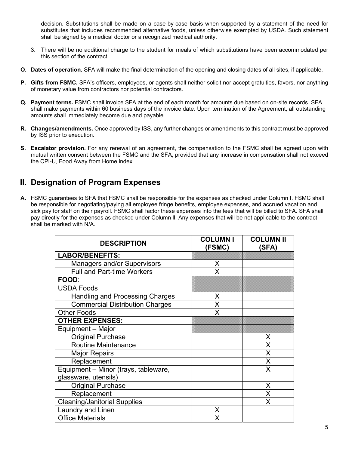decision. Substitutions shall be made on a case-by-case basis when supported by a statement of the need for substitutes that includes recommended alternative foods, unless otherwise exempted by USDA. Such statement shall be signed by a medical doctor or a recognized medical authority.

- 3. There will be no additional charge to the student for meals of which substitutions have been accommodated per this section of the contract.
- **O. Dates of operation.** SFA will make the final determination of the opening and closing dates of all sites, if applicable.
- **P. Gifts from FSMC.** SFA's officers, employees, or agents shall neither solicit nor accept gratuities, favors, nor anything of monetary value from contractors nor potential contractors.
- **Q. Payment terms.** FSMC shall invoice SFA at the end of each month for amounts due based on on-site records. SFA shall make payments within 60 business days of the invoice date. Upon termination of the Agreement, all outstanding amounts shall immediately become due and payable.
- **R. Changes/amendments.** Once approved by ISS, any further changes or amendments to this contract must be approved by ISS prior to execution.
- **S. Escalator provision.** For any renewal of an agreement, the compensation to the FSMC shall be agreed upon with mutual written consent between the FSMC and the SFA, provided that any increase in compensation shall not exceed the CPI-U, Food Away from Home index.

#### **II. Designation of Program Expenses**

**A.** FSMC guarantees to SFA that FSMC shall be responsible for the expenses as checked under Column I. FSMC shall be responsible for negotiating/paying all employee fringe benefits, employee expenses, and accrued vacation and sick pay for staff on their payroll. FSMC shall factor these expenses into the fees that will be billed to SFA. SFA shall pay directly for the expenses as checked under Column ll. Any expenses that will be not applicable to the contract shall be marked with N/A.

| <b>DESCRIPTION</b>                     | <b>COLUMN I</b><br>(FSMC) | <b>COLUMN II</b><br>(SFA) |
|----------------------------------------|---------------------------|---------------------------|
| <b>LABOR/BENEFITS:</b>                 |                           |                           |
| <b>Managers and/or Supervisors</b>     | X                         |                           |
| <b>Full and Part-time Workers</b>      | X                         |                           |
| FOOD:                                  |                           |                           |
| <b>USDA Foods</b>                      |                           |                           |
| <b>Handling and Processing Charges</b> | X                         |                           |
| <b>Commercial Distribution Charges</b> | X                         |                           |
| <b>Other Foods</b>                     | X                         |                           |
| <b>OTHER EXPENSES:</b>                 |                           |                           |
| Equipment - Major                      |                           |                           |
| <b>Original Purchase</b>               |                           | X                         |
| Routine Maintenance                    |                           | X                         |
| <b>Major Repairs</b>                   |                           | X                         |
| Replacement                            |                           | X                         |
| Equipment - Minor (trays, tableware,   |                           | X                         |
| glassware, utensils)                   |                           |                           |
| <b>Original Purchase</b>               |                           | X                         |
| Replacement                            |                           | X                         |
| <b>Cleaning/Janitorial Supplies</b>    |                           | X                         |
| Laundry and Linen                      | X                         |                           |
| <b>Office Materials</b>                | x                         |                           |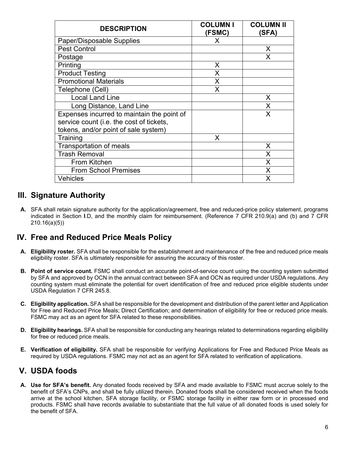| <b>DESCRIPTION</b>                         | <b>COLUMN I</b><br>(FSMC) | <b>COLUMN II</b><br>(SFA) |
|--------------------------------------------|---------------------------|---------------------------|
| Paper/Disposable Supplies                  | X                         |                           |
| <b>Pest Control</b>                        |                           | X                         |
| Postage                                    |                           | X                         |
| Printing                                   | X                         |                           |
| <b>Product Testing</b>                     | X                         |                           |
| <b>Promotional Materials</b>               | X                         |                           |
| Telephone (Cell)                           | X                         |                           |
| <b>Local Land Line</b>                     |                           | X                         |
| Long Distance, Land Line                   |                           | X                         |
| Expenses incurred to maintain the point of |                           | X                         |
| service count (i.e. the cost of tickets,   |                           |                           |
| tokens, and/or point of sale system)       |                           |                           |
| Training                                   | X                         |                           |
| Transportation of meals                    |                           | X                         |
| <b>Trash Removal</b>                       |                           | X                         |
| <b>From Kitchen</b>                        |                           | X                         |
| <b>From School Premises</b>                |                           | X                         |
| <b>Vehicles</b>                            |                           | X                         |

## **III. Signature Authority**

**A.** SFA shall retain signature authority for the application/agreement, free and reduced-price policy statement, programs indicated in Section **I**.D, and the monthly claim for reimbursement. (Reference 7 CFR 210.9(a) and (b) and 7 CFR 210.16(a)(5))

#### **IV. Free and Reduced Price Meals Policy**

- **A. Eligibility roster.** SFA shall be responsible for the establishment and maintenance of the free and reduced price meals eligibility roster. SFA is ultimately responsible for assuring the accuracy of this roster.
- **B. Point of service count.** FSMC shall conduct an accurate point-of-service count using the counting system submitted by SFA and approved by OCN in the annual contract between SFA and OCN as required under USDA regulations. Any counting system must eliminate the potential for overt identification of free and reduced price eligible students under USDA Regulation 7 CFR 245.8.
- **C. Eligibility application.** SFA shall be responsible for the development and distribution of the parent letter and Application for Free and Reduced Price Meals; Direct Certification; and determination of eligibility for free or reduced price meals. FSMC may act as an agent for SFA related to these responsibilities.
- **D. Eligibility hearings.** SFA shall be responsible for conducting any hearings related to determinations regarding eligibility for free or reduced price meals.
- **E. Verification of eligibility.** SFA shall be responsible for verifying Applications for Free and Reduced Price Meals as required by USDA regulations. FSMC may not act as an agent for SFA related to verification of applications.

#### **V. USDA foods**

**A. Use for SFA's benefit.** Any donated foods received by SFA and made available to FSMC must accrue solely to the benefit of SFA's CNPs, and shall be fully utilized therein. Donated foods shall be considered received when the foods arrive at the school kitchen, SFA storage facility, or FSMC storage facility in either raw form or in processed end products. FSMC shall have records available to substantiate that the full value of all donated foods is used solely for the benefit of SFA.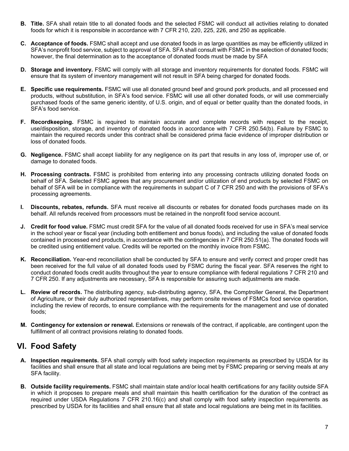- **B. Title.** SFA shall retain title to all donated foods and the selected FSMC will conduct all activities relating to donated foods for which it is responsible in accordance with 7 CFR 210, 220, 225, 226, and 250 as applicable.
- **C. Acceptance of foods.** FSMC shall accept and use donated foods in as large quantities as may be efficiently utilized in SFA's nonprofit food service, subject to approval of SFA. SFA shall consult with FSMC in the selection of donated foods; however, the final determination as to the acceptance of donated foods must be made by SFA
- **D. Storage and inventory.** FSMC will comply with all storage and inventory requirements for donated foods. FSMC will ensure that its system of inventory management will not result in SFA being charged for donated foods.
- **E. Specific use requirements.** FSMC will use all donated ground beef and ground pork products, and all processed end products, without substitution, in SFA's food service. FSMC will use all other donated foods, or will use commercially purchased foods of the same generic identity, of U.S. origin, and of equal or better quality than the donated foods, in SFA's food service.
- **F. Recordkeeping.** FSMC is required to maintain accurate and complete records with respect to the receipt, use/disposition, storage, and inventory of donated foods in accordance with 7 CFR 250.54(b). Failure by FSMC to maintain the required records under this contract shall be considered prima facie evidence of improper distribution or loss of donated foods.
- **G. Negligence.** FSMC shall accept liability for any negligence on its part that results in any loss of, improper use of, or damage to donated foods.
- **H. Processing contracts.** FSMC is prohibited from entering into any processing contracts utilizing donated foods on behalf of SFA. Selected FSMC agrees that any procurement and/or utilization of end products by selected FSMC on behalf of SFA will be in compliance with the requirements in subpart C of 7 CFR 250 and with the provisions of SFA's processing agreements.
- **I. Discounts, rebates, refunds.** SFA must receive all discounts or rebates for donated foods purchases made on its behalf. All refunds received from processors must be retained in the nonprofit food service account.
- **J. Credit for food value.** FSMC must credit SFA for the value of all donated foods received for use in SFA's meal service in the school year or fiscal year (including both entitlement and bonus foods), and including the value of donated foods contained in processed end products, in accordance with the contingencies in 7 CFR 250.51(a). The donated foods will be credited using entitlement value. Credits will be reported on the monthly invoice from FSMC.
- **K. Reconciliation.** Year-end reconciliation shall be conducted by SFA to ensure and verify correct and proper credit has been received for the full value of all donated foods used by FSMC during the fiscal year. SFA reserves the right to conduct donated foods credit audits throughout the year to ensure compliance with federal regulations 7 CFR 210 and 7 CFR 250. If any adjustments are necessary, SFA is responsible for assuring such adjustments are made.
- **L. Review of records.** The distributing agency, sub-distributing agency, SFA, the Comptroller General, the Department of Agriculture, or their duly authorized representatives, may perform onsite reviews of FSMCs food service operation, including the review of records, to ensure compliance with the requirements for the management and use of donated foods;
- **M. Contingency for extension or renewal.** Extensions or renewals of the contract, if applicable, are contingent upon the fulfillment of all contract provisions relating to donated foods.

#### **VI. Food Safety**

- **A. Inspection requirements.** SFA shall comply with food safety inspection requirements as prescribed by USDA for its facilities and shall ensure that all state and local regulations are being met by FSMC preparing or serving meals at any SFA facility.
- **B. Outside facility requirements.** FSMC shall maintain state and/or local health certifications for any facility outside SFA in which it proposes to prepare meals and shall maintain this health certification for the duration of the contract as required under USDA Regulations 7 CFR 210.16(c) and shall comply with food safety inspection requirements as prescribed by USDA for its facilities and shall ensure that all state and local regulations are being met in its facilities.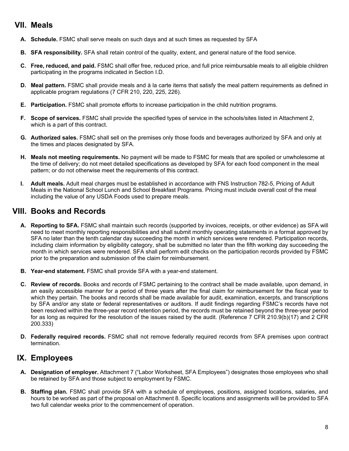#### **VII. Meals**

- **A. Schedule.** FSMC shall serve meals on such days and at such times as requested by SFA
- **B. SFA responsibility.** SFA shall retain control of the quality, extent, and general nature of the food service.
- **C. Free, reduced, and paid.** FSMC shall offer free, reduced price, and full price reimbursable meals to all eligible children participating in the programs indicated in Section I.D.
- **D. Meal pattern.** FSMC shall provide meals and à la carte items that satisfy the meal pattern requirements as defined in applicable program regulations (7 CFR 210, 220, 225, 226).
- **E. Participation.** FSMC shall promote efforts to increase participation in the child nutrition programs.
- **F. Scope of services.** FSMC shall provide the specified types of service in the schools/sites listed in Attachment 2, which is a part of this contract.
- **G. Authorized sales.** FSMC shall sell on the premises only those foods and beverages authorized by SFA and only at the times and places designated by SFA.
- **H. Meals not meeting requirements.** No payment will be made to FSMC for meals that are spoiled or unwholesome at the time of delivery; do not meet detailed specifications as developed by SFA for each food component in the meal pattern; or do not otherwise meet the requirements of this contract.
- **I. Adult meals.** Adult meal charges must be established in accordance with FNS Instruction 782-5, Pricing of Adult Meals in the National School Lunch and School Breakfast Programs. Pricing must include overall cost of the meal including the value of any USDA Foods used to prepare meals.

## **VIII. Books and Records**

- **A. Reporting to SFA.** FSMC shall maintain such records (supported by invoices, receipts, or other evidence) as SFA will need to meet monthly reporting responsibilities and shall submit monthly operating statements in a format approved by SFA no later than the tenth calendar day succeeding the month in which services were rendered. Participation records, including claim information by eligibility category, shall be submitted no later than the fifth working day succeeding the month in which services were rendered. SFA shall perform edit checks on the participation records provided by FSMC prior to the preparation and submission of the claim for reimbursement.
- **B. Year-end statement.** FSMC shall provide SFA with a year-end statement.
- **C. Review of records.** Books and records of FSMC pertaining to the contract shall be made available, upon demand, in an easily accessible manner for a period of three years after the final claim for reimbursement for the fiscal year to which they pertain. The books and records shall be made available for audit, examination, excerpts, and transcriptions by SFA and/or any state or federal representatives or auditors. If audit findings regarding FSMC's records have not been resolved within the three-year record retention period, the records must be retained beyond the three-year period for as long as required for the resolution of the issues raised by the audit. (Reference 7 CFR 210.9(b)(17) and 2 CFR 200.333)
- **D. Federally required records.** FSMC shall not remove federally required records from SFA premises upon contract termination.

#### **IX. Employees**

- **A. Designation of employer.** Attachment 7 ("Labor Worksheet, SFA Employees") designates those employees who shall be retained by SFA and those subject to employment by FSMC.
- **B. Staffing plan.** FSMC shall provide SFA with a schedule of employees, positions, assigned locations, salaries, and hours to be worked as part of the proposal on Attachment 8. Specific locations and assignments will be provided to SFA two full calendar weeks prior to the commencement of operation.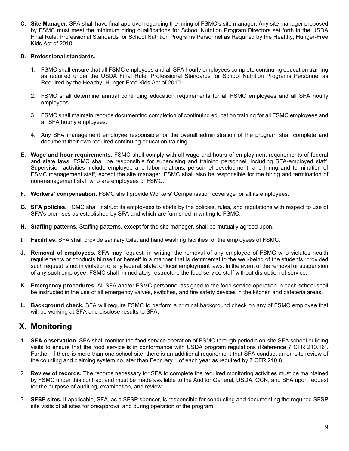**C. Site Manager.** SFA shall have final approval regarding the hiring of FSMC's site manager. Any site manager proposed by FSMC must meet the minimum hiring qualifications for School Nutrition Program Directors set forth in the USDA Final Rule: Professional Standards for School Nutrition Programs Personnel as Required by the Healthy, Hunger-Free Kids Act of 2010.

#### **D. Professional standards.**

- 1. FSMC shall ensure that all FSMC employees and all SFA hourly employees complete continuing education training as required under the USDA Final Rule: Professional Standards for School Nutrition Programs Personnel as Required by the Healthy, Hunger-Free Kids Act of 2010.
- 2. FSMC shall determine annual continuing education requirements for all FSMC employees and all SFA hourly employees.
- 3. FSMC shall maintain records documenting completion of continuing education training for all FSMC employees and all SFA hourly employees.
- 4. Any SFA management employee responsible for the overall administration of the program shall complete and document their own required continuing education training.
- **E. Wage and hour requirements.** FSMC shall comply with all wage and hours of employment requirements of federal and state laws. FSMC shall be responsible for supervising and training personnel, including SFA-employed staff. Supervision activities include employee and labor relations, personnel development, and hiring and termination of FSMC management staff, except the site manager. FSMC shall also be responsible for the hiring and termination of non-management staff who are employees of FSMC.
- **F. Workers' compensation.** FSMC shall provide Workers' Compensation coverage for all its employees.
- **G. SFA policies.** FSMC shall instruct its employees to abide by the policies, rules, and regulations with respect to use of SFA's premises as established by SFA and which are furnished in writing to FSMC.
- **H. Staffing patterns.** Staffing patterns, except for the site manager, shall be mutually agreed upon.
- **I. Facilities.** SFA shall provide sanitary toilet and hand washing facilities for the employees of FSMC.
- **J. Removal of employees.** SFA may request, in writing, the removal of any employee of FSMC who violates health requirements or conducts himself or herself in a manner that is detrimental to the well-being of the students, provided such request is not in violation of any federal, state, or local employment laws. In the event of the removal or suspension of any such employee, FSMC shall immediately restructure the food service staff without disruption of service.
- **K. Emergency procedures.** All SFA and/or FSMC personnel assigned to the food service operation in each school shall be instructed in the use of all emergency valves, switches, and fire safety devices in the kitchen and cafeteria areas.
- **L. Background check.** SFA will require FSMC to perform a criminal background check on any of FSMC employee that will be working at SFA and disclose results to SFA.

#### **X. Monitoring**

- 1. **SFA observation.** SFA shall monitor the food service operation of FSMC through periodic on-site SFA school building visits to ensure that the food service is in conformance with USDA program regulations (Reference 7 CFR 210.16). Further, if there is more than one school site, there is an additional requirement that SFA conduct an on-site review of the counting and claiming system no later than February 1 of each year as required by 7 CFR 210.8.
- 2. **Review of records.** The records necessary for SFA to complete the required monitoring activities must be maintained by FSMC under this contract and must be made available to the Auditor General, USDA, OCN, and SFA upon request for the purpose of auditing, examination, and review.
- 3. **SFSP sites.** If applicable, SFA, as a SFSP sponsor, is responsible for conducting and documenting the required SFSP site visits of all sites for preapproval and during operation of the program.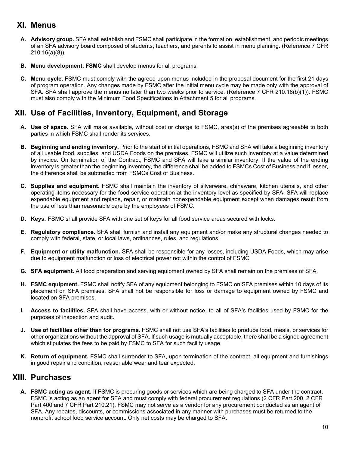#### **XI. Menus**

- **A. Advisory group.** SFA shall establish and FSMC shall participate in the formation, establishment, and periodic meetings of an SFA advisory board composed of students, teachers, and parents to assist in menu planning. (Reference 7 CFR 210.16(a)(8))
- **B. Menu development. FSMC** shall develop menus for all programs.
- **C. Menu cycle.** FSMC must comply with the agreed upon menus included in the proposal document for the first 21 days of program operation. Any changes made by FSMC after the initial menu cycle may be made only with the approval of SFA. SFA shall approve the menus no later than two weeks prior to service. (Reference 7 CFR 210.16(b)(1)). FSMC must also comply with the Minimum Food Specifications in Attachment 5 for all programs.

## **XII. Use of Facilities, Inventory, Equipment, and Storage**

- **A. Use of space.** SFA will make available, without cost or charge to FSMC, area(s) of the premises agreeable to both parties in which FSMC shall render its services.
- **B. Beginning and ending inventory.** Prior to the start of initial operations, FSMC and SFA will take a beginning inventory of all usable food, supplies, and USDA Foods on the premises. FSMC will utilize such inventory at a value determined by invoice. On termination of the Contract, FSMC and SFA will take a similar inventory. If the value of the ending inventory is greater than the beginning inventory, the difference shall be added to FSMCs Cost of Business and if lesser, the difference shall be subtracted from FSMCs Cost of Business.
- **C. Supplies and equipment.** FSMC shall maintain the inventory of silverware, chinaware, kitchen utensils, and other operating items necessary for the food service operation at the inventory level as specified by SFA. SFA will replace expendable equipment and replace, repair, or maintain nonexpendable equipment except when damages result from the use of less than reasonable care by the employees of FSMC.
- **D. Keys.** FSMC shall provide SFA with one set of keys for all food service areas secured with locks.
- **E. Regulatory compliance.** SFA shall furnish and install any equipment and/or make any structural changes needed to comply with federal, state, or local laws, ordinances, rules, and regulations.
- **F. Equipment or utility malfunction.** SFA shall be responsible for any losses, including USDA Foods, which may arise due to equipment malfunction or loss of electrical power not within the control of FSMC.
- **G. SFA equipment.** All food preparation and serving equipment owned by SFA shall remain on the premises of SFA.
- **H. FSMC equipment.** FSMC shall notify SFA of any equipment belonging to FSMC on SFA premises within 10 days of its placement on SFA premises. SFA shall not be responsible for loss or damage to equipment owned by FSMC and located on SFA premises.
- **I. Access to facilities.** SFA shall have access, with or without notice, to all of SFA's facilities used by FSMC for the purposes of inspection and audit.
- **J. Use of facilities other than for programs.** FSMC shall not use SFA's facilities to produce food, meals, or services for other organizations without the approval of SFA. If such usage is mutually acceptable, there shall be a signed agreement which stipulates the fees to be paid by FSMC to SFA for such facility usage.
- **K. Return of equipment.** FSMC shall surrender to SFA, upon termination of the contract, all equipment and furnishings in good repair and condition, reasonable wear and tear expected.

#### **XIII. Purchases**

**A. FSMC acting as agent.** If FSMC is procuring goods or services which are being charged to SFA under the contract, FSMC is acting as an agent for SFA and must comply with federal procurement regulations (2 CFR Part 200, 2 CFR Part 400 and 7 CFR Part 210.21). FSMC may not serve as a vendor for any procurement conducted as an agent of SFA. Any rebates, discounts, or commissions associated in any manner with purchases must be returned to the nonprofit school food service account. Only net costs may be charged to SFA.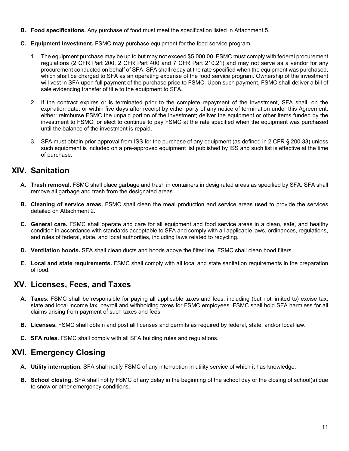- **B. Food specifications.** Any purchase of food must meet the specification listed in Attachment 5.
- **C. Equipment investment.** FSMC **may** purchase equipment for the food service program.
	- 1. The equipment purchase may be up to but may not exceed \$5,000.00. FSMC must comply with federal procurement regulations (2 CFR Part 200, 2 CFR Part 400 and 7 CFR Part 210.21) and may not serve as a vendor for any procurement conducted on behalf of SFA. SFA shall repay at the rate specified when the equipment was purchased, which shall be charged to SFA as an operating expense of the food service program. Ownership of the investment will vest in SFA upon full payment of the purchase price to FSMC. Upon such payment, FSMC shall deliver a bill of sale evidencing transfer of title to the equipment to SFA.
	- 2. If the contract expires or is terminated prior to the complete repayment of the investment, SFA shall, on the expiration date, or within five days after receipt by either party of any notice of termination under this Agreement, either: reimburse FSMC the unpaid portion of the investment; deliver the equipment or other items funded by the investment to FSMC; or elect to continue to pay FSMC at the rate specified when the equipment was purchased until the balance of the investment is repaid.
	- 3. SFA must obtain prior approval from ISS for the purchase of any equipment (as defined in 2 CFR § 200.33) unless such equipment is included on a pre-approved equipment list published by ISS and such list is effective at the time of purchase.

## **XIV. Sanitation**

- **A. Trash removal.** FSMC shall place garbage and trash in containers in designated areas as specified by SFA. SFA shall remove all garbage and trash from the designated areas.
- **B. Cleaning of service areas.** FSMC shall clean the meal production and service areas used to provide the services detailed on Attachment 2.
- **C. General care.** FSMC shall operate and care for all equipment and food service areas in a clean, safe, and healthy condition in accordance with standards acceptable to SFA and comply with all applicable laws, ordinances, regulations, and rules of federal, state, and local authorities, including laws related to recycling.
- **D. Ventilation hoods.** SFA shall clean ducts and hoods above the filter line. FSMC shall clean hood filters.
- **E. Local and state requirements.** FSMC shall comply with all local and state sanitation requirements in the preparation of food.

#### **XV. Licenses, Fees, and Taxes**

- **A. Taxes.** FSMC shall be responsible for paying all applicable taxes and fees, including (but not limited to) excise tax, state and local income tax, payroll and withholding taxes for FSMC employees. FSMC shall hold SFA harmless for all claims arising from payment of such taxes and fees.
- **B. Licenses.** FSMC shall obtain and post all licenses and permits as required by federal, state, and/or local law.
- **C. SFA rules.** FSMC shall comply with all SFA building rules and regulations.

#### **XVI. Emergency Closing**

- **A. Utility interruption.** SFA shall notify FSMC of any interruption in utility service of which it has knowledge.
- **B. School closing.** SFA shall notify FSMC of any delay in the beginning of the school day or the closing of school(s) due to snow or other emergency conditions.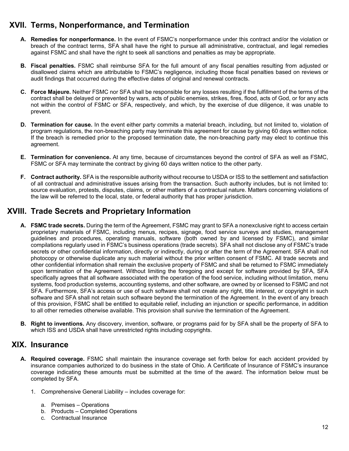## **XVII. Terms, Nonperformance, and Termination**

- **A. Remedies for nonperformance.** In the event of FSMC's nonperformance under this contract and/or the violation or breach of the contract terms, SFA shall have the right to pursue all administrative, contractual, and legal remedies against FSMC and shall have the right to seek all sanctions and penalties as may be appropriate.
- **B. Fiscal penalties.** FSMC shall reimburse SFA for the full amount of any fiscal penalties resulting from adjusted or disallowed claims which are attributable to FSMC's negligence, including those fiscal penalties based on reviews or audit findings that occurred during the effective dates of original and renewal contracts.
- **C. Force Majeure.** Neither FSMC nor SFA shall be responsible for any losses resulting if the fulfillment of the terms of the contract shall be delayed or prevented by wars, acts of public enemies, strikes, fires, flood, acts of God, or for any acts not within the control of FSMC or SFA, respectively, and which, by the exercise of due diligence, it was unable to prevent.
- **D. Termination for cause.** In the event either party commits a material breach, including, but not limited to, violation of program regulations, the non-breaching party may terminate this agreement for cause by giving 60 days written notice. If the breach is remedied prior to the proposed termination date, the non-breaching party may elect to continue this agreement.
- **E. Termination for convenience.** At any time, because of circumstances beyond the control of SFA as well as FSMC, FSMC or SFA may terminate the contract by giving 60 days written notice to the other party.
- **F. Contract authority.** SFA is the responsible authority without recourse to USDA or ISS to the settlement and satisfaction of all contractual and administrative issues arising from the transaction. Such authority includes, but is not limited to: source evaluation, protests, disputes, claims, or other matters of a contractual nature. Matters concerning violations of the law will be referred to the local, state, or federal authority that has proper jurisdiction.

## **XVIII. Trade Secrets and Proprietary Information**

- **A. FSMC trade secrets.** During the term of the Agreement, FSMC may grant to SFA a nonexclusive right to access certain proprietary materials of FSMC, including menus, recipes, signage, food service surveys and studies, management guidelines and procedures, operating manuals, software (both owned by and licensed by FSMC), and similar compilations regularly used in FSMC's business operations (trade secrets). SFA shall not disclose any of FSMC's trade secrets or other confidential information, directly or indirectly, during or after the term of the Agreement. SFA shall not photocopy or otherwise duplicate any such material without the prior written consent of FSMC. All trade secrets and other confidential information shall remain the exclusive property of FSMC and shall be returned to FSMC immediately upon termination of the Agreement. Without limiting the foregoing and except for software provided by SFA, SFA specifically agrees that all software associated with the operation of the food service, including without limitation, menu systems, food production systems, accounting systems, and other software, are owned by or licensed to FSMC and not SFA. Furthermore, SFA's access or use of such software shall not create any right, title interest, or copyright in such software and SFA shall not retain such software beyond the termination of the Agreement. In the event of any breach of this provision, FSMC shall be entitled to equitable relief, including an injunction or specific performance, in addition to all other remedies otherwise available. This provision shall survive the termination of the Agreement.
- **B. Right to inventions.** Any discovery, invention, software, or programs paid for by SFA shall be the property of SFA to which ISS and USDA shall have unrestricted rights including copyrights.

#### **XIX. Insurance**

- **A. Required coverage.** FSMC shall maintain the insurance coverage set forth below for each accident provided by insurance companies authorized to do business in the state of Ohio. A Certificate of Insurance of FSMC's insurance coverage indicating these amounts must be submitted at the time of the award. The information below must be completed by SFA.
	- 1. Comprehensive General Liability includes coverage for:
		- a. Premises Operations
		- b. Products Completed Operations
		- c. Contractual Insurance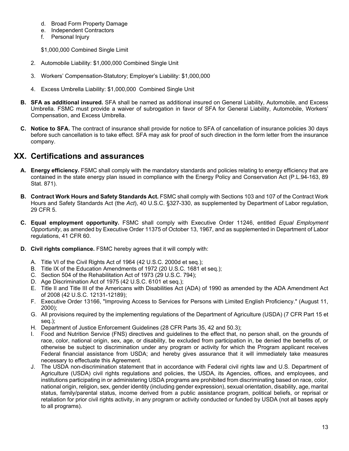- d. Broad Form Property Damage
- e. Independent Contractors
- f. Personal Injury

\$1,000,000 Combined Single Limit

- 2. Automobile Liability: \$1,000,000 Combined Single Unit
- 3. Workers' Compensation-Statutory; Employer's Liability: \$1,000,000
- 4. Excess Umbrella Liability: \$1,000,000 Combined Single Unit
- **B. SFA as additional insured.** SFA shall be named as additional insured on General Liability, Automobile, and Excess Umbrella. FSMC must provide a waiver of subrogation in favor of SFA for General Liability, Automobile, Workers' Compensation, and Excess Umbrella.
- **C. Notice to SFA.** The contract of insurance shall provide for notice to SFA of cancellation of insurance policies 30 days before such cancellation is to take effect. SFA may ask for proof of such direction in the form letter from the insurance company.

#### **XX. Certifications and assurances**

- **A. Energy efficiency.** FSMC shall comply with the mandatory standards and policies relating to energy efficiency that are contained in the state energy plan issued in compliance with the Energy Policy and Conservation Act (P.L.94-163, 89 Stat. 871).
- **B. Contract Work Hours and Safety Standards Act.** FSMC shall comply with Sections 103 and 107 of the Contract Work Hours and Safety Standards Act (the *Act*), 40 U.S.C. §327-330, as supplemented by Department of Labor regulation, 29 CFR 5.
- **C. Equal employment opportunity.** FSMC shall comply with Executive Order 11246, entitled *Equal Employment Opportunity*, as amended by Executive Order 11375 of October 13, 1967, and as supplemented in Department of Labor regulations, 41 CFR 60.
- **D. Civil rights compliance.** FSMC hereby agrees that it will comply with:
	- A. Title VI of the Civil Rights Act of 1964 (42 U.S.C. 2000d et seq.);
	- B. Title IX of the Education Amendments of 1972 (20 U.S.C. 1681 et seq.);
	- C. Section 504 of the Rehabilitation Act of 1973 (29 U.S.C. 794);
	- D. Age Discrimination Act of 1975 (42 U.S.C. 6101 et seq.);
	- E. Title II and Title III of the Americans with Disabilities Act (ADA) of 1990 as amended by the ADA Amendment Act of 2008 (42 U.S.C. 12131-12189);
	- F. Executive Order 13166, "Improving Access to Services for Persons with Limited English Proficiency." (August 11, 2000);
	- G. All provisions required by the implementing regulations of the Department of Agriculture (USDA) (7 CFR Part 15 et seq.);
	- H. Department of Justice Enforcement Guidelines (28 CFR Parts 35, 42 and 50.3);
	- Food and Nutrition Service (FNS) directives and guidelines to the effect that, no person shall, on the grounds of race, color, national origin, sex, age, or disability, be excluded from participation in, be denied the benefits of, or otherwise be subject to discrimination under any program or activity for which the Program applicant receives Federal financial assistance from USDA; and hereby gives assurance that it will immediately take measures necessary to effectuate this Agreement.
	- J. The USDA non-discrimination statement that in accordance with Federal civil rights law and U.S. Department of Agriculture (USDA) civil rights regulations and policies, the USDA, its Agencies, offices, and employees, and institutions participating in or administering USDA programs are prohibited from discriminating based on race, color, national origin, religion, sex, gender identity (including gender expression), sexual orientation, disability, age, marital status, family/parental status, income derived from a public assistance program, political beliefs, or reprisal or retaliation for prior civil rights activity, in any program or activity conducted or funded by USDA (not all bases apply to all programs).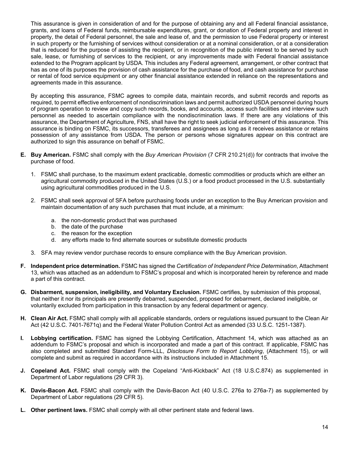This assurance is given in consideration of and for the purpose of obtaining any and all Federal financial assistance, grants, and loans of Federal funds, reimbursable expenditures, grant, or donation of Federal property and interest in property, the detail of Federal personnel, the sale and lease of, and the permission to use Federal property or interest in such property or the furnishing of services without consideration or at a nominal consideration, or at a consideration that is reduced for the purpose of assisting the recipient, or in recognition of the public interest to be served by such sale, lease, or furnishing of services to the recipient, or any improvements made with Federal financial assistance extended to the Program applicant by USDA. This includes any Federal agreement, arrangement, or other contract that has as one of its purposes the provision of cash assistance for the purchase of food, and cash assistance for purchase or rental of food service equipment or any other financial assistance extended in reliance on the representations and agreements made in this assurance.

By accepting this assurance, FSMC agrees to compile data, maintain records, and submit records and reports as required, to permit effective enforcement of nondiscrimination laws and permit authorized USDA personnel during hours of program operation to review and copy such records, books, and accounts, access such facilities and interview such personnel as needed to ascertain compliance with the nondiscrimination laws. If there are any violations of this assurance, the Department of Agriculture, FNS, shall have the right to seek judicial enforcement of this assurance. This assurance is binding on FSMC, its successors, transferees and assignees as long as it receives assistance or retains possession of any assistance from USDA. The person or persons whose signatures appear on this contract are authorized to sign this assurance on behalf of FSMC.

- **E. Buy American.** FSMC shall comply with the *Buy American Provision* (7 CFR 210.21(d)) for contracts that involve the purchase of food.
	- 1. FSMC shall purchase, to the maximum extent practicable, domestic commodities or products which are either an agricultural commodity produced in the United States (U.S.) or a food product processed in the U.S. substantially using agricultural commodities produced in the U.S.
	- 2. FSMC shall seek approval of SFA before purchasing foods under an exception to the Buy American provision and maintain documentation of any such purchases that must include, at a minimum:
		- a. the non-domestic product that was purchased
		- b. the date of the purchase
		- c. the reason for the exception
		- d. any efforts made to find alternate sources or substitute domestic products
	- 3. SFA may review vendor purchase records to ensure compliance with the Buy American provision.
- **F. Independent price determination.** FSMC has signed the *Certification of Independent Price Determination*, Attachment 13, which was attached as an addendum to FSMC's proposal and which is incorporated herein by reference and made a part of this contract.
- **G. Disbarment, suspension, ineligibility, and Voluntary Exclusion.** FSMC certifies, by submission of this proposal, that neither it nor its principals are presently debarred, suspended, proposed for debarment, declared ineligible, or voluntarily excluded from participation in this transaction by any federal department or agency.
- **H. Clean Air Act.** FSMC shall comply with all applicable standards, orders or regulations issued pursuant to the Clean Air Act (42 U.S.C. 7401-7671q) and the Federal Water Pollution Control Act as amended (33 U.S.C. 1251-1387).
- **I. Lobbying certification.** FSMC has signed the Lobbying Certification, Attachment 14, which was attached as an addendum to FSMC's proposal and which is incorporated and made a part of this contract. If applicable, FSMC has also completed and submitted Standard Form-LLL, *Disclosure Form to Report Lobbying*, (Attachment 15), or will complete and submit as required in accordance with its instructions included in Attachment 15.
- **J. Copeland Act.** FSMC shall comply with the Copeland "Anti-Kickback" Act (18 U.S.C.874) as supplemented in Department of Labor regulations (29 CFR 3).
- **K. Davis-Bacon Act.** FSMC shall comply with the Davis-Bacon Act (40 U.S.C. 276a to 276a-7) as supplemented by Department of Labor regulations (29 CFR 5).
- **L. Other pertinent laws.** FSMC shall comply with all other pertinent state and federal laws.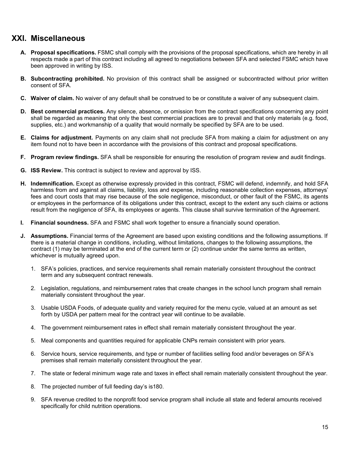#### **XXI. Miscellaneous**

- **A. Proposal specifications.** FSMC shall comply with the provisions of the proposal specifications, which are hereby in all respects made a part of this contract including all agreed to negotiations between SFA and selected FSMC which have been approved in writing by ISS.
- **B. Subcontracting prohibited.** No provision of this contract shall be assigned or subcontracted without prior written consent of SFA.
- **C. Waiver of claim.** No waiver of any default shall be construed to be or constitute a waiver of any subsequent claim.
- **D. Best commercial practices.** Any silence, absence, or omission from the contract specifications concerning any point shall be regarded as meaning that only the best commercial practices are to prevail and that only materials (e.g. food, supplies, etc.) and workmanship of a quality that would normally be specified by SFA are to be used.
- **E. Claims for adjustment.** Payments on any claim shall not preclude SFA from making a claim for adjustment on any item found not to have been in accordance with the provisions of this contract and proposal specifications.
- **F. Program review findings.** SFA shall be responsible for ensuring the resolution of program review and audit findings.
- **G. ISS Review.** This contract is subject to review and approval by ISS.
- **H. Indemnification.** Except as otherwise expressly provided in this contract, FSMC will defend, indemnify, and hold SFA harmless from and against all claims, liability, loss and expense, including reasonable collection expenses, attorneys' fees and court costs that may rise because of the sole negligence, misconduct, or other fault of the FSMC, its agents or employees in the performance of its obligations under this contract, except to the extent any such claims or actions result from the negligence of SFA, its employees or agents. This clause shall survive termination of the Agreement.
- **I. Financial soundness.** SFA and FSMC shall work together to ensure a financially sound operation.
- **J. Assumptions.** Financial terms of the Agreement are based upon existing conditions and the following assumptions. If there is a material change in conditions, including, without limitations, changes to the following assumptions, the contract (1) may be terminated at the end of the current term or (2) continue under the same terms as written, whichever is mutually agreed upon.
	- 1. SFA's policies, practices, and service requirements shall remain materially consistent throughout the contract term and any subsequent contract renewals.
	- 2. Legislation, regulations, and reimbursement rates that create changes in the school lunch program shall remain materially consistent throughout the year.
	- 3. Usable USDA Foods, of adequate quality and variety required for the menu cycle, valued at an amount as set forth by USDA per pattern meal for the contract year will continue to be available.
	- 4. The government reimbursement rates in effect shall remain materially consistent throughout the year.
	- 5. Meal components and quantities required for applicable CNPs remain consistent with prior years.
	- 6. Service hours, service requirements, and type or number of facilities selling food and/or beverages on SFA's premises shall remain materially consistent throughout the year.
	- 7. The state or federal minimum wage rate and taxes in effect shall remain materially consistent throughout the year.
	- 8. The projected number of full feeding day's is180.
	- 9. SFA revenue credited to the nonprofit food service program shall include all state and federal amounts received specifically for child nutrition operations.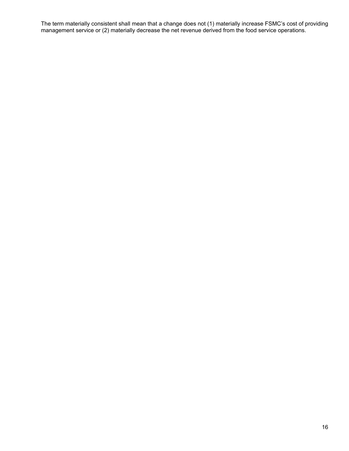The term materially consistent shall mean that a change does not (1) materially increase FSMC's cost of providing management service or (2) materially decrease the net revenue derived from the food service operations.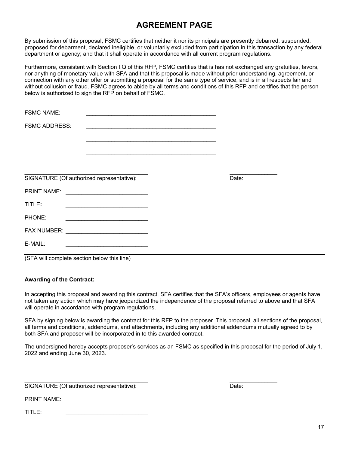## **AGREEMENT PAGE**

By submission of this proposal, FSMC certifies that neither it nor its principals are presently debarred, suspended, proposed for debarment, declared ineligible, or voluntarily excluded from participation in this transaction by any federal department or agency; and that it shall operate in accordance with all current program regulations.

Furthermore, consistent with Section I.Q of this RFP, FSMC certifies that is has not exchanged any gratuities, favors, nor anything of monetary value with SFA and that this proposal is made without prior understanding, agreement, or connection with any other offer or submitting a proposal for the same type of service, and is in all respects fair and without collusion or fraud. FSMC agrees to abide by all terms and conditions of this RFP and certifies that the person below is authorized to sign the RFP on behalf of FSMC.

| <b>FSMC NAME:</b>    |                                                                                           | the control of the control of the control of the control of the control of the control of the control of the control of the control of the control of the control of the control of the control of the control of the control |       |  |
|----------------------|-------------------------------------------------------------------------------------------|-------------------------------------------------------------------------------------------------------------------------------------------------------------------------------------------------------------------------------|-------|--|
| <b>FSMC ADDRESS:</b> |                                                                                           |                                                                                                                                                                                                                               |       |  |
|                      |                                                                                           |                                                                                                                                                                                                                               |       |  |
|                      |                                                                                           |                                                                                                                                                                                                                               |       |  |
|                      |                                                                                           |                                                                                                                                                                                                                               |       |  |
|                      | SIGNATURE (Of authorized representative):                                                 |                                                                                                                                                                                                                               | Date: |  |
|                      |                                                                                           |                                                                                                                                                                                                                               |       |  |
| TITLE:               |                                                                                           |                                                                                                                                                                                                                               |       |  |
| PHONE:               |                                                                                           |                                                                                                                                                                                                                               |       |  |
|                      |                                                                                           |                                                                                                                                                                                                                               |       |  |
| E-MAIL:              | the control of the control of the control of the control of the control of the control of |                                                                                                                                                                                                                               |       |  |
|                      |                                                                                           |                                                                                                                                                                                                                               |       |  |

(SFA will complete section below this line)

#### **Awarding of the Contract:**

In accepting this proposal and awarding this contract, SFA certifies that the SFA's officers, employees or agents have not taken any action which may have jeopardized the independence of the proposal referred to above and that SFA will operate in accordance with program regulations.

SFA by signing below is awarding the contract for this RFP to the proposer. This proposal, all sections of the proposal, all terms and conditions, addendums, and attachments, including any additional addendums mutually agreed to by both SFA and proposer will be incorporated in to this awarded contract.

The undersigned hereby accepts proposer's services as an FSMC as specified in this proposal for the period of July 1, 2022 and ending June 30, 2023.

 $\frac{1}{2}$  ,  $\frac{1}{2}$  ,  $\frac{1}{2}$  ,  $\frac{1}{2}$  ,  $\frac{1}{2}$  ,  $\frac{1}{2}$  ,  $\frac{1}{2}$  ,  $\frac{1}{2}$  ,  $\frac{1}{2}$  ,  $\frac{1}{2}$  ,  $\frac{1}{2}$  ,  $\frac{1}{2}$  ,  $\frac{1}{2}$  ,  $\frac{1}{2}$  ,  $\frac{1}{2}$  ,  $\frac{1}{2}$  ,  $\frac{1}{2}$  ,  $\frac{1}{2}$  ,  $\frac{1$ SIGNATURE (Of authorized representative): Date:

PRINT NAME: \_\_\_\_\_\_\_\_\_\_\_\_\_\_\_\_\_\_\_\_\_\_\_\_\_\_

 $TITLE:$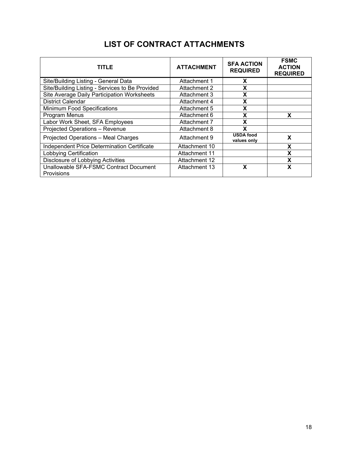|  |  | <b>LIST OF CONTRACT ATTACHMENTS</b> |
|--|--|-------------------------------------|
|--|--|-------------------------------------|

| <b>TITLE</b>                                                | <b>ATTACHMENT</b> | <b>SFA ACTION</b><br><b>REQUIRED</b> | <b>FSMC</b><br><b>ACTION</b><br><b>REQUIRED</b> |
|-------------------------------------------------------------|-------------------|--------------------------------------|-------------------------------------------------|
| Site/Building Listing - General Data                        | Attachment 1      | X                                    |                                                 |
| Site/Building Listing - Services to Be Provided             | Attachment 2      | X                                    |                                                 |
| Site Average Daily Participation Worksheets                 | Attachment 3      | x                                    |                                                 |
| <b>District Calendar</b>                                    | Attachment 4      | X                                    |                                                 |
| <b>Minimum Food Specifications</b>                          | Attachment 5      | X                                    |                                                 |
| Program Menus                                               | Attachment 6      | X                                    | x                                               |
| Labor Work Sheet, SFA Employees                             | Attachment 7      | x                                    |                                                 |
| <b>Projected Operations - Revenue</b>                       | Attachment 8      | χ                                    |                                                 |
| Projected Operations - Meal Charges                         | Attachment 9      | <b>USDA food</b><br>values only      | X                                               |
| Independent Price Determination Certificate                 | Attachment 10     |                                      | X                                               |
| Lobbying Certification                                      | Attachment 11     |                                      | X                                               |
| Disclosure of Lobbying Activities                           | Attachment 12     |                                      | X                                               |
| Unallowable SFA-FSMC Contract Document<br><b>Provisions</b> | Attachment 13     | x                                    | X                                               |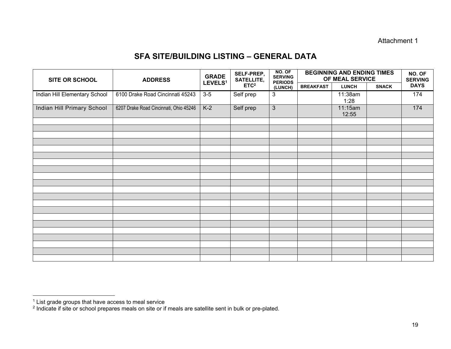#### Attachment 1

#### **SFA SITE/BUILDING LISTING – GENERAL DATA**

| <b>SITE OR SCHOOL</b>         | <b>GRADE</b><br>LEVELS <sup>1</sup>    | SELF-PREP,<br><b>SATELLITE,</b> | NO. OF<br><b>SERVING</b><br><b>PERIODS</b> | <b>BEGINNING AND ENDING TIMES</b><br>OF MEAL SERVICE | NO. OF<br><b>SERVING</b> |                  |              |             |
|-------------------------------|----------------------------------------|---------------------------------|--------------------------------------------|------------------------------------------------------|--------------------------|------------------|--------------|-------------|
|                               |                                        |                                 | ETC <sup>2</sup><br>(LUNCH)                |                                                      | <b>BREAKFAST</b>         | <b>LUNCH</b>     | <b>SNACK</b> | <b>DAYS</b> |
| Indian Hill Elementary School | 6100 Drake Road Cincinnati 45243       | $3-5$                           | Self prep                                  | 3                                                    |                          | 11:38am<br>1:28  |              | 174         |
| Indian Hill Primary School    | 6207 Drake Road Cincinnati, Ohio 45246 | $K-2$                           | Self prep                                  | $\overline{3}$                                       |                          | 11:15am<br>12:55 |              | 174         |
|                               |                                        |                                 |                                            |                                                      |                          |                  |              |             |
|                               |                                        |                                 |                                            |                                                      |                          |                  |              |             |
|                               |                                        |                                 |                                            |                                                      |                          |                  |              |             |
|                               |                                        |                                 |                                            |                                                      |                          |                  |              |             |
|                               |                                        |                                 |                                            |                                                      |                          |                  |              |             |
|                               |                                        |                                 |                                            |                                                      |                          |                  |              |             |
|                               |                                        |                                 |                                            |                                                      |                          |                  |              |             |
|                               |                                        |                                 |                                            |                                                      |                          |                  |              |             |
|                               |                                        |                                 |                                            |                                                      |                          |                  |              |             |
|                               |                                        |                                 |                                            |                                                      |                          |                  |              |             |
|                               |                                        |                                 |                                            |                                                      |                          |                  |              |             |
|                               |                                        |                                 |                                            |                                                      |                          |                  |              |             |
|                               |                                        |                                 |                                            |                                                      |                          |                  |              |             |
|                               |                                        |                                 |                                            |                                                      |                          |                  |              |             |
|                               |                                        |                                 |                                            |                                                      |                          |                  |              |             |
|                               |                                        |                                 |                                            |                                                      |                          |                  |              |             |
|                               |                                        |                                 |                                            |                                                      |                          |                  |              |             |
|                               |                                        |                                 |                                            |                                                      |                          |                  |              |             |
|                               |                                        |                                 |                                            |                                                      |                          |                  |              |             |

 $^1$  List grade groups that have access to meal service<br><sup>2</sup> Indicate if site or school prepares meals on site or if meals are satellite sent in bulk or pre-plated.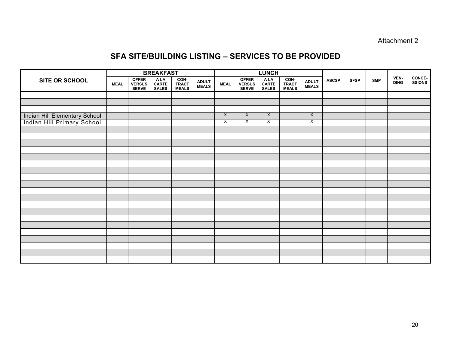#### Attachment 2

#### **SFA SITE/BUILDING LISTING – SERVICES TO BE PROVIDED**

|                               |             | <b>BREAKFAST</b>                              |                               |                        |                        |                           |                                 | <b>LUNCH</b>                  |                               |                              |              |             |            |                     |                                |
|-------------------------------|-------------|-----------------------------------------------|-------------------------------|------------------------|------------------------|---------------------------|---------------------------------|-------------------------------|-------------------------------|------------------------------|--------------|-------------|------------|---------------------|--------------------------------|
| <b>SITE OR SCHOOL</b>         | <b>MEAL</b> | <b>OFFER</b><br><b>VERSUS</b><br><b>SERVE</b> | A LA<br>CARTE<br><b>SALES</b> | CON-<br>TRACT<br>MEALS | <b>ADULT<br/>MEALS</b> | <b>MEAL</b>               | OFFER<br>VERSUS<br><b>SERVE</b> | A LA<br>CARTE<br><b>SALES</b> | CON-<br>TRACT<br><b>MEALS</b> | <b>ADULT</b><br><b>MEALS</b> | <b>ASCSP</b> | <b>SFSP</b> | <b>SMP</b> | VEN-<br><b>DING</b> | <b>CONCE-</b><br><b>SSIONS</b> |
|                               |             |                                               |                               |                        |                        |                           |                                 |                               |                               |                              |              |             |            |                     |                                |
|                               |             |                                               |                               |                        |                        |                           |                                 |                               |                               |                              |              |             |            |                     |                                |
|                               |             |                                               |                               |                        |                        |                           |                                 |                               |                               |                              |              |             |            |                     |                                |
| Indian Hill Elementary School |             |                                               |                               |                        |                        | $\boldsymbol{\mathsf{X}}$ | $\times$                        | $\mathsf{X}$                  |                               | $\times$                     |              |             |            |                     |                                |
| Indian Hill Primary School    |             |                                               |                               |                        |                        | $\mathsf{X}$              | $\overline{\mathsf{x}}$         | X                             |                               | X                            |              |             |            |                     |                                |
|                               |             |                                               |                               |                        |                        |                           |                                 |                               |                               |                              |              |             |            |                     |                                |
|                               |             |                                               |                               |                        |                        |                           |                                 |                               |                               |                              |              |             |            |                     |                                |
|                               |             |                                               |                               |                        |                        |                           |                                 |                               |                               |                              |              |             |            |                     |                                |
|                               |             |                                               |                               |                        |                        |                           |                                 |                               |                               |                              |              |             |            |                     |                                |
|                               |             |                                               |                               |                        |                        |                           |                                 |                               |                               |                              |              |             |            |                     |                                |
|                               |             |                                               |                               |                        |                        |                           |                                 |                               |                               |                              |              |             |            |                     |                                |
|                               |             |                                               |                               |                        |                        |                           |                                 |                               |                               |                              |              |             |            |                     |                                |
|                               |             |                                               |                               |                        |                        |                           |                                 |                               |                               |                              |              |             |            |                     |                                |
|                               |             |                                               |                               |                        |                        |                           |                                 |                               |                               |                              |              |             |            |                     |                                |
|                               |             |                                               |                               |                        |                        |                           |                                 |                               |                               |                              |              |             |            |                     |                                |
|                               |             |                                               |                               |                        |                        |                           |                                 |                               |                               |                              |              |             |            |                     |                                |
|                               |             |                                               |                               |                        |                        |                           |                                 |                               |                               |                              |              |             |            |                     |                                |
|                               |             |                                               |                               |                        |                        |                           |                                 |                               |                               |                              |              |             |            |                     |                                |
|                               |             |                                               |                               |                        |                        |                           |                                 |                               |                               |                              |              |             |            |                     |                                |
|                               |             |                                               |                               |                        |                        |                           |                                 |                               |                               |                              |              |             |            |                     |                                |
|                               |             |                                               |                               |                        |                        |                           |                                 |                               |                               |                              |              |             |            |                     |                                |
|                               |             |                                               |                               |                        |                        |                           |                                 |                               |                               |                              |              |             |            |                     |                                |
|                               |             |                                               |                               |                        |                        |                           |                                 |                               |                               |                              |              |             |            |                     |                                |
|                               |             |                                               |                               |                        |                        |                           |                                 |                               |                               |                              |              |             |            |                     |                                |
|                               |             |                                               |                               |                        |                        |                           |                                 |                               |                               |                              |              |             |            |                     |                                |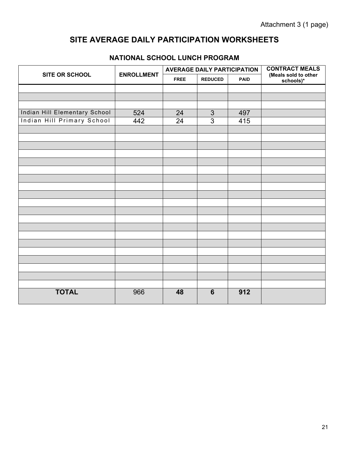## **SITE AVERAGE DAILY PARTICIPATION WORKSHEETS**

|                                   |                   | <b>AVERAGE DAILY PARTICIPATION</b> |                |     | <b>CONTRACT MEALS</b>             |
|-----------------------------------|-------------------|------------------------------------|----------------|-----|-----------------------------------|
| SITE OR SCHOOL                    | <b>ENROLLMENT</b> | <b>FREE</b>                        | <b>REDUCED</b> |     | (Meals sold to other<br>schools)* |
|                                   |                   |                                    |                |     |                                   |
|                                   |                   |                                    |                |     |                                   |
|                                   |                   |                                    |                |     |                                   |
| Indian Hill Elementary School     | 524               | 24                                 | 3              | 497 |                                   |
| <b>Indian Hill Primary School</b> | 442               | 24                                 | 3              | 415 |                                   |
|                                   |                   |                                    |                |     |                                   |
|                                   |                   |                                    |                |     |                                   |
|                                   |                   |                                    |                |     |                                   |
|                                   |                   |                                    |                |     |                                   |
|                                   |                   |                                    |                |     |                                   |
|                                   |                   |                                    |                |     |                                   |
|                                   |                   |                                    |                |     |                                   |
|                                   |                   |                                    |                |     |                                   |
|                                   |                   |                                    |                |     |                                   |
|                                   |                   |                                    |                |     |                                   |
|                                   |                   |                                    |                |     |                                   |
|                                   |                   |                                    |                |     |                                   |
|                                   |                   |                                    |                |     |                                   |
|                                   |                   |                                    |                |     |                                   |
|                                   |                   |                                    |                |     |                                   |
|                                   |                   |                                    |                |     |                                   |
|                                   |                   |                                    |                |     |                                   |
|                                   |                   |                                    |                |     |                                   |
|                                   |                   |                                    |                |     |                                   |
|                                   |                   |                                    |                |     |                                   |
| <b>TOTAL</b>                      | 966               | 48                                 | $6\phantom{1}$ | 912 |                                   |

#### **NATIONAL SCHOOL LUNCH PROGRAM**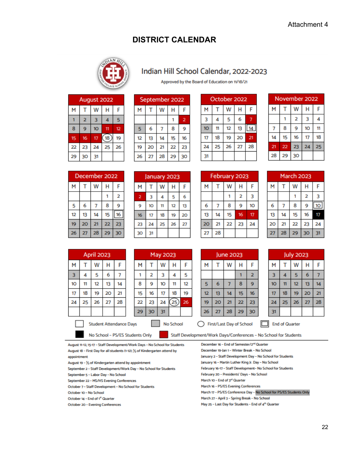## **DISTRICT CALENDAR**



#### Indian Hill School Calendar, 2022-2023

Approved by the Board of Education on 11/18/21

| August 2022 |        |                 |    |    |  |
|-------------|--------|-----------------|----|----|--|
| M           | w<br>н |                 |    |    |  |
|             | 2      | з               |    | 5  |  |
| 8           |        | 10 <sup>°</sup> | 11 | 12 |  |
| 15          | 16     | 17              | 18 | 19 |  |
| 22          | 23     | 24              | 25 | 26 |  |
| 29          | 30     | 31              |    |    |  |

| September 2022 |    |    |    |                |  |
|----------------|----|----|----|----------------|--|
| м              |    | w  | н  |                |  |
|                |    |    |    | $\overline{2}$ |  |
| 5              | 6  |    | 8  | 9              |  |
| 12             | 13 | 14 | 15 | 16             |  |
| 19             | 20 | 21 | 22 | 23             |  |
| 26             | 27 | 28 | 29 | 30             |  |

| October 2022 |             |    |    |    |  |
|--------------|-------------|----|----|----|--|
| M            | w<br>н<br>F |    |    |    |  |
| 3            |             | 5  | 6  |    |  |
| 10           | 11          | 12 | 13 |    |  |
| 17           | 18          | 19 | 20 | 21 |  |
| 24           | 25          | 26 | 27 | 28 |  |
| 31           |             |    |    |    |  |

| November 2022              |    |    |    |    |  |  |
|----------------------------|----|----|----|----|--|--|
| М                          |    | w  | н  | F  |  |  |
|                            |    | 2  | 3  |    |  |  |
|                            | 8  | 9  | 10 | 11 |  |  |
| 14                         | 15 | 16 | 17 | 18 |  |  |
| 24<br>22<br>23<br>21<br>25 |    |    |    |    |  |  |
| 28                         | 29 | 30 |    |    |  |  |

| December 2022 |    |    |    |    |  |
|---------------|----|----|----|----|--|
| М             | н  |    |    |    |  |
|               | 2  |    |    |    |  |
| 5             | 6  |    | 8  | 9  |  |
| 12            | 13 | 14 | 15 | 16 |  |
| 19            | 20 | 21 | 22 | 23 |  |
| 26            | 27 | 28 | 29 | 30 |  |

|                | January 2023 |    |    |    |  |  |
|----------------|--------------|----|----|----|--|--|
| м              | w<br>Н       |    |    |    |  |  |
| $\overline{2}$ | 3            | 4  | 5  | 6  |  |  |
| 9              | 10           | 11 | 12 | 13 |  |  |
| 16             | 17           | 18 | 19 | 20 |  |  |
| 23             | 24           | 25 | 26 | 27 |  |  |
| 30             | 31           |    |    |    |  |  |

| February 2023              |    |    |    |    |  |
|----------------------------|----|----|----|----|--|
| М                          |    | W  | н  |    |  |
|                            |    | 2  | 3  |    |  |
| 6                          |    | 8  | 9  | 10 |  |
| 13                         | 14 | 15 | 16 | 17 |  |
| 22<br>23<br>24<br>20<br>21 |    |    |    |    |  |
| 28<br>27                   |    |    |    |    |  |

| <b>March 2023</b> |    |                |    |    |  |  |
|-------------------|----|----------------|----|----|--|--|
| M                 |    | w              | н  | F  |  |  |
|                   |    | $\overline{2}$ | 3  |    |  |  |
| 6                 |    | 8              | 9  | 10 |  |  |
| 13                | 14 | 15             | 16 | 17 |  |  |
| 20                | 21 | 22             | 23 | 24 |  |  |
| 27                | 28 | 29             | 30 | 31 |  |  |

| <b>April 2023</b> |    |                                |    |    |  |  |
|-------------------|----|--------------------------------|----|----|--|--|
| M                 |    | w                              | н  | F  |  |  |
| 3                 | 4  | 5                              | 6  |    |  |  |
| 10                | 11 | 12                             | 13 | 14 |  |  |
| 17                | 18 | 19                             | 20 | 21 |  |  |
| 24                | 25 | 26                             | 27 | 28 |  |  |
|                   |    |                                |    |    |  |  |
|                   |    | <b>Student Attendance Days</b> |    |    |  |  |

| May 2023       |    |    |    |    |  |  |  |
|----------------|----|----|----|----|--|--|--|
| м              |    | Н  | F  |    |  |  |  |
|                | 2  | 3  | 4  | 5  |  |  |  |
| 8              | 9  | 10 | 11 | 12 |  |  |  |
| 15             | 16 | 17 | 18 | 19 |  |  |  |
| 22             | 23 | 24 | 25 | 26 |  |  |  |
| 29<br>30<br>31 |    |    |    |    |  |  |  |

No School

| June 2023 |    |    |    |    |  |
|-----------|----|----|----|----|--|
| м         |    | н  | F  |    |  |
|           |    |    |    | 2  |  |
| 5         | 6  |    | 8  | 9  |  |
| 12        | 13 | 14 | 15 | 16 |  |
| 19        | 20 | 21 | 22 | 23 |  |
| 26        | 27 | 28 | 29 | 30 |  |

| <b>July 2023</b>      |    |    |    |    |  |  |
|-----------------------|----|----|----|----|--|--|
| M                     |    | W  | н  | F  |  |  |
| 3                     | 4  | 5  | 6  |    |  |  |
| 10                    | 11 | 12 | 13 | 14 |  |  |
| 17                    | 18 | 19 | 20 | 21 |  |  |
| 24                    | 25 | 26 | 27 | 28 |  |  |
| 31                    |    |    |    |    |  |  |
| <b>End of Quarter</b> |    |    |    |    |  |  |

Staff Development/Work Days/Conferences - No School for Students

First/Last Day of School

August 11-12, 15-17 - Staff Development/Work Days - No School for Students August 18 - First Day for all students (1-12); 1/2 of Kindergarten attend by appointment

- August 19 1/2 of Kindergarten attend by appointment
- September 2 Staff Development/Work Day No School for Students September 5 - Labor Day - No School

No School - PS/ES Students Only

September 22 - MS/HS Evening Conferences

October 7 - Staff Development - No School for Students

October 10 - No School

October 14 - End of 1<sup>tt</sup> Quarter

October 20 - Evening Conferences

December 16 - End of Semester/2<sup>nd</sup> Quarter

December 19-Jan 1 - Winter Break - No School

January 2 - Staff Development Day - No School for Students January 16 - Martin Luther King Jr. Day - No School

February 16-17 - Staff Development- No School for Students

February 20 - Presidents' Days - No School

March 10 - End of 3rd Quarter

March 16 - PS/ES Evening Conferences

March 17 - PS/ES Conference Day - No School for PS/ES Students Only

- March 27 April 3 Spring Break No School
- May 25 Last Day for Students End of 4th Quarter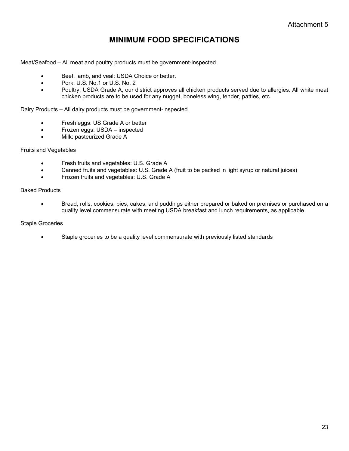## **MINIMUM FOOD SPECIFICATIONS**

Meat/Seafood – All meat and poultry products must be government-inspected.

- Beef, lamb, and veal: USDA Choice or better.
- Pork: U.S. No.1 or U.S. No. 2
- Poultry: USDA Grade A, our district approves all chicken products served due to allergies. All white meat chicken products are to be used for any nugget, boneless wing, tender, patties, etc.

Dairy Products – All dairy products must be government-inspected.

- Fresh eggs: US Grade A or better
- Frozen eggs: USDA inspected
- Milk: pasteurized Grade A

#### Fruits and Vegetables

- **•** Fresh fruits and vegetables: U.S. Grade A
- Canned fruits and vegetables: U.S. Grade A (fruit to be packed in light syrup or natural juices)
- Frozen fruits and vegetables: U.S. Grade A

#### Baked Products

 Bread, rolls, cookies, pies, cakes, and puddings either prepared or baked on premises or purchased on a quality level commensurate with meeting USDA breakfast and lunch requirements, as applicable

#### Staple Groceries

Staple groceries to be a quality level commensurate with previously listed standards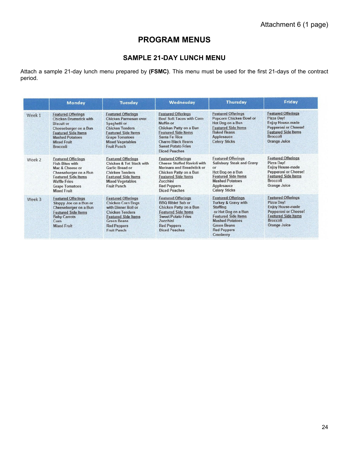## **PROGRAM MENUS**

#### **SAMPLE 21-DAY LUNCH MENU**

Attach a sample 21-day lunch menu prepared by **(FSMC)**. This menu must be used for the first 21-days of the contract period.

|        | Monday                                                                                                                                                                                                    | <b>Tuesday</b>                                                                                                                                                                                         | Wednesday                                                                                                                                                                                                                                    | <b>Thursday</b>                                                                                                                                                                                             | Friday                                                                                                                                                             |
|--------|-----------------------------------------------------------------------------------------------------------------------------------------------------------------------------------------------------------|--------------------------------------------------------------------------------------------------------------------------------------------------------------------------------------------------------|----------------------------------------------------------------------------------------------------------------------------------------------------------------------------------------------------------------------------------------------|-------------------------------------------------------------------------------------------------------------------------------------------------------------------------------------------------------------|--------------------------------------------------------------------------------------------------------------------------------------------------------------------|
| Week 1 | <b>Featured Offerings</b><br><b>Chicken Drumstick with</b><br><b>Biscuit</b> or<br>Cheeseburger on a Bun<br><b>Featured Side Items</b><br><b>Mashed Potatoes</b><br><b>Mixed Fruit</b><br><b>Broccoli</b> | <b>Featured Offerings</b><br>Chicken Parmesan over<br>Spaghetti or<br><b>Chicken Tenders</b><br><b>Featured Side Items</b><br><b>Grape Tomatoes</b><br><b>Mixed Vegetables</b><br><b>Fruit Punch</b>   | <b>Featured Offerings</b><br><b>Beef Soft Tacos with Corn</b><br>Muffin or<br>Chicken Patty on a Bun<br><b>Featured Side Items</b><br><b>Santa Fe Rice</b><br><b>Charro Black Beans</b><br><b>Sweet Potato Fries</b><br><b>Diced Peaches</b> | <b>Featured Offerings</b><br>Popcorn Chicken Bowl or<br>Hot Dog on a Bun<br><b>Featured Side Items</b><br><b>Baked Beans</b><br>Applesauce<br><b>Celery Sticks</b>                                          | <b>Featured Offerings</b><br>Pizza Day!<br><b>Enjoy House-made</b><br>Pepperoni or Cheese!<br><b>Featured Side Items</b><br><b>Broccoli</b><br>Orange Juice        |
| Week 2 | <b>Featured Offerings</b><br><b>Fish Bites with</b><br>Mac & Cheese or<br>Cheeseburger on a Bun<br><b>Featured Side Items</b><br><b>Waffle Fries</b><br><b>Grape Tomatoes</b><br><b>Mixed Fruit</b>       | <b>Featured Offerings</b><br>Chicken & Tot Stack with<br>Garlic Bread or<br>Chicken Tenders<br><b>Featured Side Items</b><br><b>Mixed Vegetables</b><br>Fruit Punch                                    | <b>Featured Offerings</b><br><b>Cheese Stuffed Ravioli with</b><br>Marinara and Breadstick or<br>Chicken Patty on a Bun<br><b>Featured Side Items</b><br>Zucchini<br><b>Red Peppers</b><br><b>Diced Peaches</b>                              | <b>Featured Offerings</b><br><b>Salisbury Steak and Gravy</b><br>or<br>Hot Dog on a Bun<br><b>Featured Side Items</b><br><b>Mashed Potatoes</b><br>Applesauce<br><b>Celery Sticks</b>                       | <b>Featured Offerings</b><br>Pizza Day!<br><b>Enjoy House-made</b><br>Pepperoni or Cheese!<br><b>Featured Side Items</b><br><b>Broccoli</b><br>Orange Juice        |
| Week 3 | <b>Featured Offerings</b><br>Sloppy Joe on a Bun or<br>Cheeseburger on a Bun<br><b>Featured Side Items</b><br><b>Baby Carrots</b><br>Corn<br><b>Mixed Fruit</b>                                           | <b>Featured Offerings</b><br><b>Chicken Corn Dogs</b><br>with Dinner Roll or<br><b>Chicken Tenders</b><br><b>Featured Side Items</b><br><b>Green Beans</b><br><b>Red Peppers</b><br><b>Fruit Punch</b> | <b>Featured Offerings</b><br><b>BBO Riblet Sub or</b><br>Chicken Patty on a Bun<br><b>Featured Side Items</b><br><b>Sweet Potato Fries</b><br>Zucchini<br><b>Red Peppers</b><br><b>Diced Peaches</b>                                         | <b>Featured Offerings</b><br>Turkey & Gravy with<br><b>Stuffing</b><br>or Hot Dog on a Bun<br><b>Featured Side Items</b><br><b>Mashed Potatoes</b><br><b>Green Beans</b><br><b>Red Peppers</b><br>Cranberry | <b>Featured Offerings</b><br>Pizza Day!<br><b>Enjoy House-made</b><br><b>Pepperoni or Cheese!</b><br><b>Featured Side Items</b><br><b>Broccoli</b><br>Orange Juice |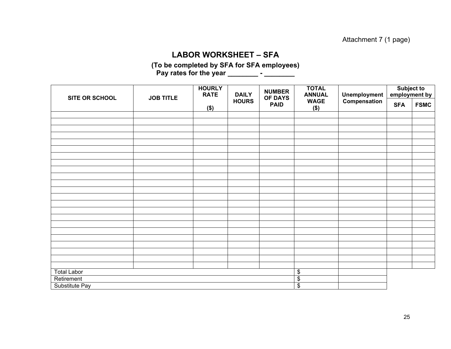#### **LABOR WORKSHEET – SFA**

**(To be completed by SFA for SFA employees)**  Pay rates for the year \_\_\_\_\_\_\_\_\_\_ - \_\_\_\_\_\_\_\_

| SITE OR SCHOOL     | <b>JOB TITLE</b> | <b>HOURLY</b><br><b>RATE</b> | <b>DAILY</b>            | <b>NUMBER</b><br>OF DAYS | <b>TOTAL</b><br><b>ANNUAL</b> | Unemployment | Subject to<br>employment by |             |
|--------------------|------------------|------------------------------|-------------------------|--------------------------|-------------------------------|--------------|-----------------------------|-------------|
|                    |                  | $($ \$)                      | <b>HOURS</b>            | <b>PAID</b>              | <b>WAGE</b><br>$($ \$)        | Compensation | <b>SFA</b>                  | <b>FSMC</b> |
|                    |                  |                              |                         |                          |                               |              |                             |             |
|                    |                  |                              |                         |                          |                               |              |                             |             |
|                    |                  |                              |                         |                          |                               |              |                             |             |
|                    |                  |                              |                         |                          |                               |              |                             |             |
|                    |                  |                              |                         |                          |                               |              |                             |             |
|                    |                  |                              |                         |                          |                               |              |                             |             |
|                    |                  |                              |                         |                          |                               |              |                             |             |
|                    |                  |                              |                         |                          |                               |              |                             |             |
|                    |                  |                              |                         |                          |                               |              |                             |             |
|                    |                  |                              |                         |                          |                               |              |                             |             |
|                    |                  |                              |                         |                          |                               |              |                             |             |
|                    |                  |                              |                         |                          |                               |              |                             |             |
|                    |                  |                              |                         |                          |                               |              |                             |             |
|                    |                  |                              |                         |                          |                               |              |                             |             |
|                    |                  |                              |                         |                          |                               |              |                             |             |
|                    |                  |                              |                         |                          |                               |              |                             |             |
|                    |                  |                              |                         |                          |                               |              |                             |             |
|                    |                  |                              |                         |                          |                               |              |                             |             |
|                    |                  |                              |                         |                          |                               |              |                             |             |
|                    |                  |                              |                         |                          |                               |              |                             |             |
|                    |                  |                              |                         |                          |                               |              |                             |             |
|                    |                  |                              |                         |                          |                               |              |                             |             |
|                    |                  |                              |                         |                          |                               |              |                             |             |
| <b>Total Labor</b> |                  |                              | $\overline{\mathbf{e}}$ |                          |                               |              |                             |             |
| Retirement         |                  |                              | $\overline{\$}$         |                          |                               |              |                             |             |
| Substitute Pay     |                  |                              | $\overline{\$}$         |                          |                               |              |                             |             |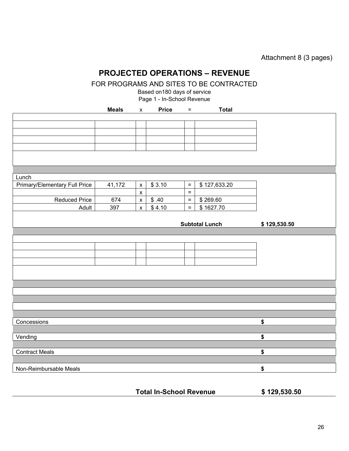Attachment 8 (3 pages)

## **PROJECTED OPERATIONS – REVENUE**

FOR PROGRAMS AND SITES TO BE CONTRACTED

Based on180 days of service

Page 1 - In-School Revenue

|                                      | <b>Meals</b> | $\pmb{\mathsf{x}}$ | <b>Price</b>   | $\equiv$ | <b>Total</b>          |              |
|--------------------------------------|--------------|--------------------|----------------|----------|-----------------------|--------------|
|                                      |              |                    |                |          |                       |              |
|                                      |              |                    |                |          |                       |              |
|                                      |              |                    |                |          |                       |              |
|                                      |              |                    |                |          |                       |              |
|                                      |              |                    |                |          |                       |              |
|                                      |              |                    |                |          |                       |              |
|                                      |              |                    |                |          |                       |              |
| Lunch                                |              |                    |                |          |                       |              |
| <b>Primary/Elementary Full Price</b> | 41,172       | $\pmb{\mathsf{x}}$ | \$3.10         | $\equiv$ | \$127,633.20          |              |
|                                      |              | $\pmb{\mathsf{x}}$ |                | $\equiv$ |                       |              |
| <b>Reduced Price</b>                 | 674          | $\pmb{\mathsf{X}}$ | \$.40          | $\equiv$ | \$269.60              |              |
| Adult                                | 397          | $\pmb{\mathsf{x}}$ | $\sqrt{$}4.10$ | $\equiv$ | \$1627.70             |              |
|                                      |              |                    |                |          |                       |              |
|                                      |              |                    |                |          | <b>Subtotal Lunch</b> | \$129,530.50 |
|                                      |              |                    |                |          |                       |              |
|                                      |              |                    |                |          |                       |              |
|                                      |              |                    |                |          |                       |              |
|                                      |              |                    |                |          |                       |              |
|                                      |              |                    |                |          |                       |              |
|                                      |              |                    |                |          |                       |              |
|                                      |              |                    |                |          |                       |              |
|                                      |              |                    |                |          |                       |              |
|                                      |              |                    |                |          |                       |              |
|                                      |              |                    |                |          |                       |              |
|                                      |              |                    |                |          |                       |              |
| Concessions                          |              |                    |                |          |                       | \$           |
|                                      |              |                    |                |          |                       |              |
| Vending                              |              |                    |                |          |                       | \$           |
|                                      |              |                    |                |          |                       |              |
| <b>Contract Meals</b>                |              |                    |                |          |                       | \$           |
|                                      |              |                    |                |          |                       |              |
| Non-Reimbursable Meals               |              |                    |                |          |                       | \$           |

**Total In-School Revenue \$ 129,530.50**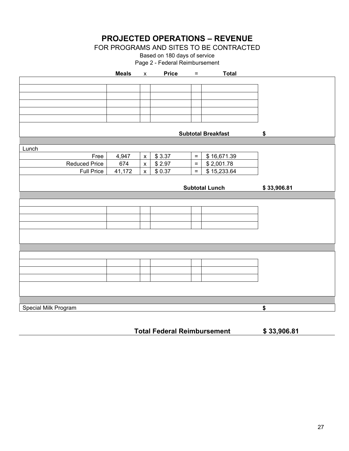**PROJECTED OPERATIONS – REVENUE** 

FOR PROGRAMS AND SITES TO BE CONTRACTED

Based on 180 days of service Page 2 - Federal Reimbursement

|                      | <b>Meals</b> | $\mathsf{X}$       | <b>Price</b> | $\equiv$ | <b>Total</b>              |             |
|----------------------|--------------|--------------------|--------------|----------|---------------------------|-------------|
|                      |              |                    |              |          |                           |             |
|                      |              |                    |              |          |                           |             |
|                      |              |                    |              |          |                           |             |
|                      |              |                    |              |          |                           |             |
|                      |              |                    |              |          |                           |             |
|                      |              |                    |              |          |                           |             |
|                      |              |                    |              |          | <b>Subtotal Breakfast</b> | \$          |
|                      |              |                    |              |          |                           |             |
| Lunch                |              |                    |              |          |                           |             |
| Free                 | 4,947        | $\pmb{\mathsf{x}}$ | \$3.37       | $\equiv$ | \$16,671.39               |             |
| Reduced Price        | 674          | $\mathsf X$        | \$2.97       | $\equiv$ | \$2,001.78                |             |
| <b>Full Price</b>    | 41,172       | $\mathsf{X}$       | \$0.37       | $=$      | \$15,233.64               |             |
|                      |              |                    |              |          |                           |             |
|                      |              |                    |              |          | <b>Subtotal Lunch</b>     | \$33,906.81 |
|                      |              |                    |              |          |                           |             |
|                      |              |                    |              |          |                           |             |
|                      |              |                    |              |          |                           |             |
|                      |              |                    |              |          |                           |             |
|                      |              |                    |              |          |                           |             |
|                      |              |                    |              |          |                           |             |
|                      |              |                    |              |          |                           |             |
|                      |              |                    |              |          |                           |             |
|                      |              |                    |              |          |                           |             |
|                      |              |                    |              |          |                           |             |
|                      |              |                    |              |          |                           |             |
|                      |              |                    |              |          |                           |             |
|                      |              |                    |              |          |                           |             |
|                      |              |                    |              |          |                           |             |
|                      |              |                    |              |          |                           |             |
| Special Milk Program |              |                    |              |          |                           | \$          |

**Total Federal Reimbursement \$ 33,906.81**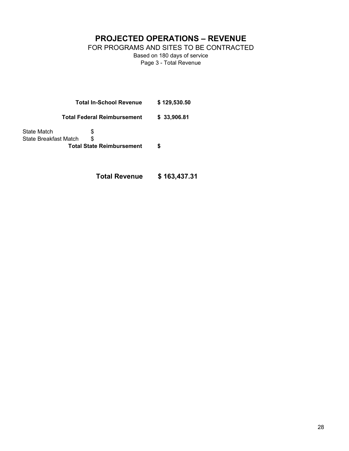**PROJECTED OPERATIONS – REVENUE** 

FOR PROGRAMS AND SITES TO BE CONTRACTED

Based on 180 days of service Page 3 - Total Revenue

**Total In-School Revenue \$ 129,530.50** 

**Total Federal Reimbursement \$ 33,906.81** 

State Match  $\$\$ State Breakfast Match \$ **Total State Reimbursement \$** 

**Total Revenue \$ 163,437.31**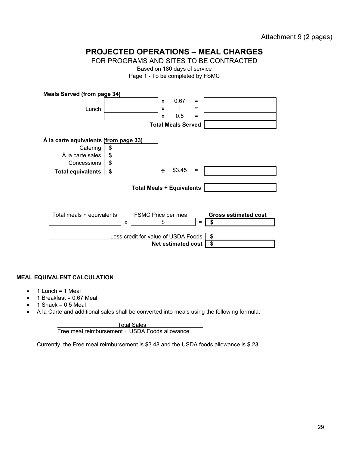Attachment 9 (2 pages)

## **PROJECTED OPERATIONS – MEAL CHARGES**

FOR PROGRAMS AND SITES TO BE CONTRACTED

Based on 180 days of service

Page 1 - To be completed by FSMC

| <b>Meals Served (from page 34)</b>               |                                     |                                  |     |                                   |  |  |  |
|--------------------------------------------------|-------------------------------------|----------------------------------|-----|-----------------------------------|--|--|--|
|                                                  |                                     | 0.67<br>X                        | $=$ |                                   |  |  |  |
| Lunch                                            |                                     | 1<br>X                           | $=$ |                                   |  |  |  |
|                                                  |                                     | 0.5<br>X                         | $=$ |                                   |  |  |  |
|                                                  |                                     | <b>Total Meals Served</b>        |     |                                   |  |  |  |
| À la carte equivalents (from page 33)            |                                     |                                  |     |                                   |  |  |  |
| Catering                                         | \$                                  |                                  |     |                                   |  |  |  |
| À la carte sales                                 | \$                                  |                                  |     |                                   |  |  |  |
| Concessions                                      | \$                                  |                                  |     |                                   |  |  |  |
| <b>Total equivalents</b>                         | \$                                  | \$3.45<br>÷                      | $=$ |                                   |  |  |  |
|                                                  |                                     | <b>Total Meals + Equivalents</b> |     |                                   |  |  |  |
|                                                  |                                     |                                  |     |                                   |  |  |  |
| Total meals + equivalents<br>FSMC Price per meal |                                     |                                  |     |                                   |  |  |  |
|                                                  | X                                   | \$                               | $=$ | <b>Gross estimated cost</b><br>\$ |  |  |  |
|                                                  | Less credit for value of USDA Foods |                                  |     | \$                                |  |  |  |

**Net estimated cost \$** 

#### **MEAL EQUIVALENT CALCULATION**

- $\bullet$  1 Lunch = 1 Meal
- $\bullet$  1 Breakfast = 0.67 Meal
- $\bullet$  1 Snack = 0.5 Meal
- A la Carte and additional sales shall be converted into meals using the following formula:

Total Sales

Free meal reimbursement + USDA Foods allowance

Currently, the Free meal reimbursement is \$3.48 and the USDA foods allowance is \$.23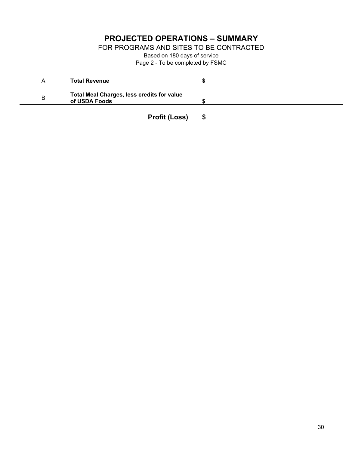## **PROJECTED OPERATIONS – SUMMARY**

FOR PROGRAMS AND SITES TO BE CONTRACTED

Based on 180 days of service Page 2 - To be completed by FSMC

| A | <b>Total Revenue</b>                                        |  |
|---|-------------------------------------------------------------|--|
| B | Total Meal Charges, less credits for value<br>of USDA Foods |  |
|   | <b>Profit (Loss)</b>                                        |  |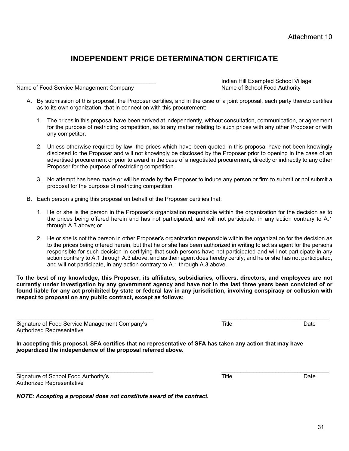Attachment 10

## **INDEPENDENT PRICE DETERMINATION CERTIFICATE**

Name of Food Service Management Company

Indian Hill Exempted School Village<br>Name of School Food Authority

- A. By submission of this proposal, the Proposer certifies, and in the case of a joint proposal, each party thereto certifies as to its own organization, that in connection with this procurement:
	- 1. The prices in this proposal have been arrived at independently, without consultation, communication, or agreement for the purpose of restricting competition, as to any matter relating to such prices with any other Proposer or with any competitor.
	- 2. Unless otherwise required by law, the prices which have been quoted in this proposal have not been knowingly disclosed to the Proposer and will not knowingly be disclosed by the Proposer prior to opening in the case of an advertised procurement or prior to award in the case of a negotiated procurement, directly or indirectly to any other Proposer for the purpose of restricting competition.
	- 3. No attempt has been made or will be made by the Proposer to induce any person or firm to submit or not submit a proposal for the purpose of restricting competition.
- B. Each person signing this proposal on behalf of the Proposer certifies that:
	- 1. He or she is the person in the Proposer's organization responsible within the organization for the decision as to the prices being offered herein and has not participated, and will not participate, in any action contrary to A.1 through A.3 above; or
	- 2. He or she is not the person in other Proposer's organization responsible within the organization for the decision as to the prices being offered herein, but that he or she has been authorized in writing to act as agent for the persons responsible for such decision in certifying that such persons have not participated and will not participate in any action contrary to A.1 through A.3 above, and as their agent does hereby certify; and he or she has not participated, and will not participate, in any action contrary to A.1 through A.3 above.

**To the best of my knowledge, this Proposer, its affiliates, subsidiaries, officers, directors, and employees are not currently under investigation by any government agency and have not in the last three years been convicted of or found liable for any act prohibited by state or federal law in any jurisdiction, involving conspiracy or collusion with respect to proposal on any public contract, except as follows:** 

Signature of Food Service Management Company's Title Title Title Date Authorized Representative

**In accepting this proposal, SFA certifies that no representative of SFA has taken any action that may have jeopardized the independence of the proposal referred above.** 

Signature of School Food Authority's Date Date Date Title Date Date Date Authorized Representative

*NOTE: Accepting a proposal does not constitute award of the contract.*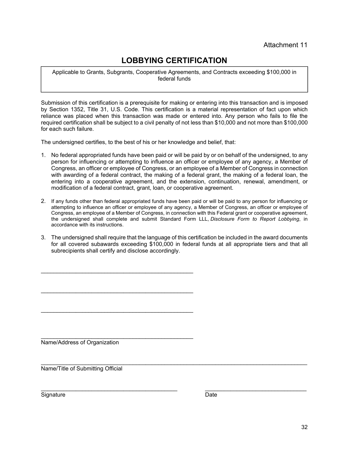## **LOBBYING CERTIFICATION**

Applicable to Grants, Subgrants, Cooperative Agreements, and Contracts exceeding \$100,000 in federal funds

Submission of this certification is a prerequisite for making or entering into this transaction and is imposed by Section 1352, Title 31, U.S. Code. This certification is a material representation of fact upon which reliance was placed when this transaction was made or entered into. Any person who fails to file the required certification shall be subject to a civil penalty of not less than \$10,000 and not more than \$100,000 for each such failure.

The undersigned certifies, to the best of his or her knowledge and belief, that:

- 1. No federal appropriated funds have been paid or will be paid by or on behalf of the undersigned, to any person for influencing or attempting to influence an officer or employee of any agency, a Member of Congress, an officer or employee of Congress, or an employee of a Member of Congress in connection with awarding of a federal contract, the making of a federal grant, the making of a federal loan, the entering into a cooperative agreement, and the extension, continuation, renewal, amendment, or modification of a federal contract, grant, loan, or cooperative agreement.
- 2. If any funds other than federal appropriated funds have been paid or will be paid to any person for influencing or attempting to influence an officer or employee of any agency, a Member of Congress, an officer or employee of Congress, an employee of a Member of Congress, in connection with this Federal grant or cooperative agreement, the undersigned shall complete and submit Standard Form LLL, *Disclosure Form to Report Lobbying*, in accordance with its instructions.
- 3. The undersigned shall require that the language of this certification be included in the award documents for all covered subawards exceeding \$100,000 in federal funds at all appropriate tiers and that all subrecipients shall certify and disclose accordingly.

Name/Address of Organization

\_\_\_\_\_\_\_\_\_\_\_\_\_\_\_\_\_\_\_\_\_\_\_\_\_\_\_\_\_\_\_\_\_\_\_\_\_\_\_\_\_\_\_\_\_\_\_\_

 $\mathcal{L}_\mathcal{L} = \{ \mathcal{L}_\mathcal{L} = \{ \mathcal{L}_\mathcal{L} = \{ \mathcal{L}_\mathcal{L} = \{ \mathcal{L}_\mathcal{L} = \{ \mathcal{L}_\mathcal{L} = \{ \mathcal{L}_\mathcal{L} = \{ \mathcal{L}_\mathcal{L} = \{ \mathcal{L}_\mathcal{L} = \{ \mathcal{L}_\mathcal{L} = \{ \mathcal{L}_\mathcal{L} = \{ \mathcal{L}_\mathcal{L} = \{ \mathcal{L}_\mathcal{L} = \{ \mathcal{L}_\mathcal{L} = \{ \mathcal{L}_\mathcal{$ Name/Title of Submitting Official

Signature Date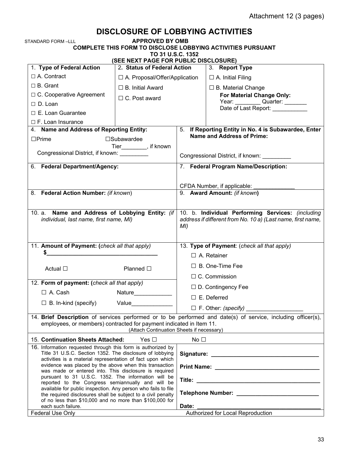## **DISCLOSURE OF LOBBYING ACTIVITIES**

**APPROVED BY OMB** 

**COMPLETE THIS FORM TO DISCLOSE LOBBYING ACTIVITIES PURSUANT** 

**TO 31 U.S.C. 1352** 

| (SEE NEXT PAGE FOR PUBLIC DISCLOSURE)                                                                                   |                                           |                                                                                                                  |                                                                                                                                                                                                                                |  |  |  |
|-------------------------------------------------------------------------------------------------------------------------|-------------------------------------------|------------------------------------------------------------------------------------------------------------------|--------------------------------------------------------------------------------------------------------------------------------------------------------------------------------------------------------------------------------|--|--|--|
| 1. Type of Federal Action                                                                                               | 2. Status of Federal Action               |                                                                                                                  | 3. Report Type                                                                                                                                                                                                                 |  |  |  |
| $\Box$ A. Contract                                                                                                      | □ A. Proposal/Offer/Application           |                                                                                                                  | $\Box$ A. Initial Filing                                                                                                                                                                                                       |  |  |  |
| $\Box$ B. Grant                                                                                                         | $\Box$ B. Initial Award                   |                                                                                                                  | $\Box$ B. Material Change                                                                                                                                                                                                      |  |  |  |
| □ C. Cooperative Agreement                                                                                              | $\Box$ C. Post award                      |                                                                                                                  | For Material Change Only:                                                                                                                                                                                                      |  |  |  |
| $\Box$ D. Loan                                                                                                          |                                           |                                                                                                                  | Year: Quarter: ________<br>Date of Last Report: ___________                                                                                                                                                                    |  |  |  |
| $\Box$ E. Loan Guarantee                                                                                                |                                           |                                                                                                                  |                                                                                                                                                                                                                                |  |  |  |
| $\Box$ F. Loan Insurance                                                                                                |                                           |                                                                                                                  |                                                                                                                                                                                                                                |  |  |  |
| 4. Name and Address of Reporting Entity:                                                                                |                                           | 5. If Reporting Entity in No. 4 is Subawardee, Enter<br><b>Name and Address of Prime:</b>                        |                                                                                                                                                                                                                                |  |  |  |
| $\Box$ Prime                                                                                                            | $\square$ Subawardee                      |                                                                                                                  |                                                                                                                                                                                                                                |  |  |  |
| Congressional District, if known: _________                                                                             | Tier_________, if known                   |                                                                                                                  | Congressional District, if known:                                                                                                                                                                                              |  |  |  |
| 6. Federal Department/Agency:                                                                                           |                                           |                                                                                                                  | 7. Federal Program Name/Description:                                                                                                                                                                                           |  |  |  |
|                                                                                                                         |                                           |                                                                                                                  |                                                                                                                                                                                                                                |  |  |  |
|                                                                                                                         |                                           |                                                                                                                  |                                                                                                                                                                                                                                |  |  |  |
| 8. Federal Action Number: (if known)                                                                                    |                                           |                                                                                                                  | CFDA Number, if applicable:<br>9. Award Amount: (if known)                                                                                                                                                                     |  |  |  |
|                                                                                                                         |                                           |                                                                                                                  |                                                                                                                                                                                                                                |  |  |  |
|                                                                                                                         |                                           |                                                                                                                  |                                                                                                                                                                                                                                |  |  |  |
| Name and Address of Lobbying Entity: (if<br>10. a.<br>individual, last name, first name, MI)                            |                                           | 10. b. Individual Performing Services: (including<br>address if different from No. 10 a) (Last name, first name, |                                                                                                                                                                                                                                |  |  |  |
|                                                                                                                         |                                           | MI)                                                                                                              |                                                                                                                                                                                                                                |  |  |  |
|                                                                                                                         |                                           |                                                                                                                  |                                                                                                                                                                                                                                |  |  |  |
| 11. Amount of Payment: (check all that apply)                                                                           |                                           |                                                                                                                  | 13. Type of Payment: (check all that apply)                                                                                                                                                                                    |  |  |  |
| S.                                                                                                                      |                                           |                                                                                                                  | $\Box$ A. Retainer                                                                                                                                                                                                             |  |  |  |
|                                                                                                                         |                                           | $\Box$ B. One-Time Fee                                                                                           |                                                                                                                                                                                                                                |  |  |  |
| Actual $\square$                                                                                                        | Planned $\square$                         | $\Box$ C. Commission                                                                                             |                                                                                                                                                                                                                                |  |  |  |
| 12. Form of payment: (check all that apply)                                                                             |                                           |                                                                                                                  |                                                                                                                                                                                                                                |  |  |  |
| $\Box$ A. Cash                                                                                                          | Nature__________                          | $\Box$ D. Contingency Fee                                                                                        |                                                                                                                                                                                                                                |  |  |  |
| $\Box$ B. In-kind (specify)                                                                                             | Value                                     |                                                                                                                  | $\Box$ E. Deferred                                                                                                                                                                                                             |  |  |  |
|                                                                                                                         |                                           |                                                                                                                  | $\Box$ F. Other: (specify)                                                                                                                                                                                                     |  |  |  |
|                                                                                                                         |                                           |                                                                                                                  | 14. Brief Description of services performed or to be performed and date(s) of service, including officer(s),                                                                                                                   |  |  |  |
| employees, or members) contracted for payment indicated in Item 11.                                                     | (Attach Continuation Sheets if necessary) |                                                                                                                  |                                                                                                                                                                                                                                |  |  |  |
| 15. Continuation Sheets Attached:                                                                                       | Yes $\Box$                                | No $\Box$                                                                                                        |                                                                                                                                                                                                                                |  |  |  |
| 16. Information requested through this form is authorized by                                                            |                                           |                                                                                                                  |                                                                                                                                                                                                                                |  |  |  |
| Title 31 U.S.C. Section 1352. The disclosure of lobbying                                                                |                                           |                                                                                                                  |                                                                                                                                                                                                                                |  |  |  |
| activities is a material representation of fact upon which<br>evidence was placed by the above when this transaction    |                                           |                                                                                                                  | Print Name: Name: Name of the Manual Account of the Manual Account of the Manual Account of the Manual Account of the Manual Account of the Manual Account of the Manual Account of the Manual Account of the Manual Account o |  |  |  |
| was made or entered into. This disclosure is required                                                                   |                                           |                                                                                                                  |                                                                                                                                                                                                                                |  |  |  |
| pursuant to 31 U.S.C. 1352. The information will be<br>reported to the Congress semiannually and will be                |                                           |                                                                                                                  |                                                                                                                                                                                                                                |  |  |  |
| available for public inspection. Any person who fails to file                                                           |                                           |                                                                                                                  |                                                                                                                                                                                                                                |  |  |  |
| the required disclosures shall be subject to a civil penalty<br>of no less than \$10,000 and no more than \$100,000 for |                                           |                                                                                                                  |                                                                                                                                                                                                                                |  |  |  |
| each such failure.                                                                                                      |                                           | Date:                                                                                                            |                                                                                                                                                                                                                                |  |  |  |
| Federal Use Only                                                                                                        |                                           |                                                                                                                  | Authorized for Local Reproduction                                                                                                                                                                                              |  |  |  |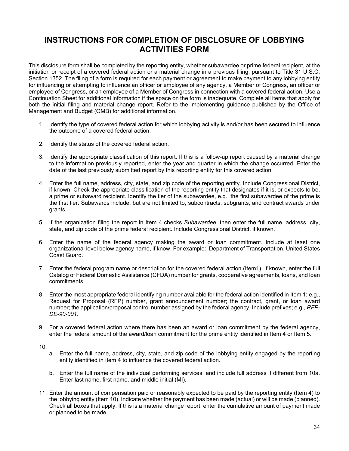### **INSTRUCTIONS FOR COMPLETION OF DISCLOSURE OF LOBBYING ACTIVITIES FORM**

This disclosure form shall be completed by the reporting entity, whether subawardee or prime federal recipient, at the initiation or receipt of a covered federal action or a material change in a previous filing, pursuant to Title 31 U.S.C. Section 1352. The filing of a form is required for each payment or agreement to make payment to any lobbying entity for influencing or attempting to influence an officer or employee of any agency, a Member of Congress, an officer or employee of Congress, or an employee of a Member of Congress in connection with a covered federal action. Use a Continuation Sheet for additional information if the space on the form is inadequate. Complete all items that apply for both the initial filing and material change report. Refer to the implementing guidance published by the Office of Management and Budget (OMB) for additional information.

- 1. Identify the type of covered federal action for which lobbying activity is and/or has been secured to influence the outcome of a covered federal action.
- 2. Identify the status of the covered federal action.
- 3. Identify the appropriate classification of this report. If this is a follow-up report caused by a material change to the information previously reported, enter the year and quarter in which the change occurred. Enter the date of the last previously submitted report by this reporting entity for this covered action.
- 4. Enter the full name, address, city, state, and zip code of the reporting entity. Include Congressional District, if known. Check the appropriate classification of the reporting entity that designates if it is, or expects to be, a prime or subaward recipient. Identify the tier of the subawardee, e.g., the first subawardee of the prime is the first tier. Subawards include, but are not limited to, subcontracts, subgrants, and contract awards under grants.
- 5. If the organization filing the report in Item 4 checks *Subawardee*, then enter the full name, address, city, state, and zip code of the prime federal recipient. Include Congressional District, if known.
- 6. Enter the name of the federal agency making the award or loan commitment. Include at least one organizational level below agency name, if know. For example: Department of Transportation, United States Coast Guard.
- 7. Enter the federal program name or description for the covered federal action (Item1). If known, enter the full Catalog of Federal Domestic Assistance (CFDA) number for grants, cooperative agreements, loans, and loan commitments.
- 8. Enter the most appropriate federal identifying number available for the federal action identified in Item 1; e.g., Request for Proposal (RFP) number, grant announcement number; the contract, grant, or loan award number; the application/proposal control number assigned by the federal agency. Include prefixes; e.g., *RFP-DE-90-001.*
- 9. For a covered federal action where there has been an award or loan commitment by the federal agency, enter the federal amount of the award/loan commitment for the prime entity identified in Item 4 or Item 5.

10.

- a. Enter the full name, address, city, state, and zip code of the lobbying entity engaged by the reporting entity identified in Item 4 to influence the covered federal action.
- b. Enter the full name of the individual performing services, and include full address if different from 10a. Enter last name, first name, and middle initial (MI).
- 11. Enter the amount of compensation paid or reasonably expected to be paid by the reporting entity (Item 4) to the lobbying entity (Item 10). Indicate whether the payment has been made (actual) or will be made (planned). Check all boxes that apply. If this is a material change report, enter the cumulative amount of payment made or planned to be made.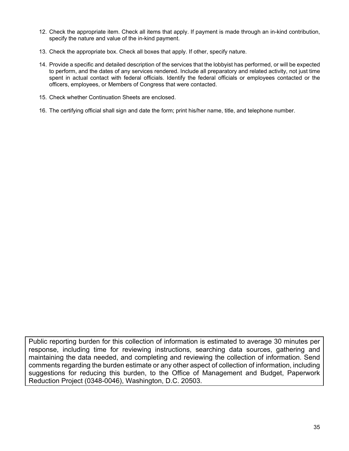- 12. Check the appropriate item. Check all items that apply. If payment is made through an in-kind contribution, specify the nature and value of the in-kind payment.
- 13. Check the appropriate box. Check all boxes that apply. If other, specify nature.
- 14. Provide a specific and detailed description of the services that the lobbyist has performed, or will be expected to perform, and the dates of any services rendered. Include all preparatory and related activity, not just time spent in actual contact with federal officials. Identify the federal officials or employees contacted or the officers, employees, or Members of Congress that were contacted.
- 15. Check whether Continuation Sheets are enclosed.
- 16. The certifying official shall sign and date the form; print his/her name, title, and telephone number.

Public reporting burden for this collection of information is estimated to average 30 minutes per response, including time for reviewing instructions, searching data sources, gathering and maintaining the data needed, and completing and reviewing the collection of information. Send comments regarding the burden estimate or any other aspect of collection of information, including suggestions for reducing this burden, to the Office of Management and Budget, Paperwork Reduction Project (0348-0046), Washington, D.C. 20503.